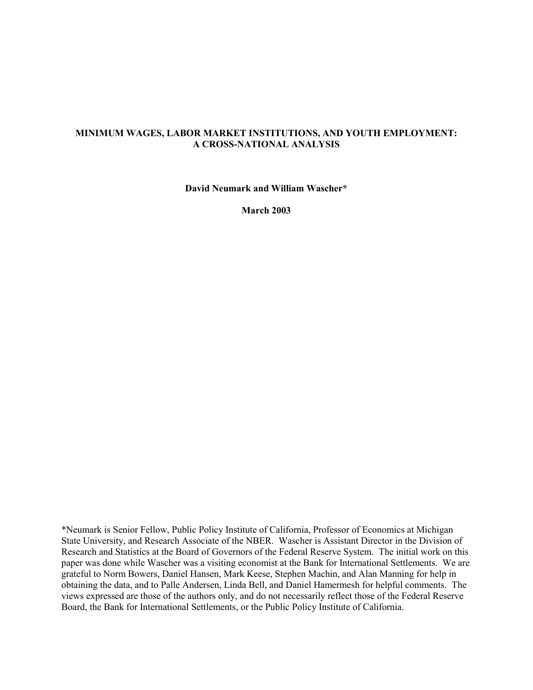### **MINIMUM WAGES, LABOR MARKET INSTITUTIONS, AND YOUTH EMPLOYMENT: A CROSS-NATIONAL ANALYSIS**

**David Neumark and William Wascher\*** 

**March 2003** 

\*Neumark is Senior Fellow, Public Policy Institute of California, Professor of Economics at Michigan State University, and Research Associate of the NBER. Wascher is Assistant Director in the Division of Research and Statistics at the Board of Governors of the Federal Reserve System. The initial work on this paper was done while Wascher was a visiting economist at the Bank for International Settlements. We are grateful to Norm Bowers, Daniel Hansen, Mark Keese, Stephen Machin, and Alan Manning for help in obtaining the data, and to Palle Andersen, Linda Bell, and Daniel Hamermesh for helpful comments. The views expressed are those of the authors only, and do not necessarily reflect those of the Federal Reserve Board, the Bank for International Settlements, or the Public Policy Institute of California.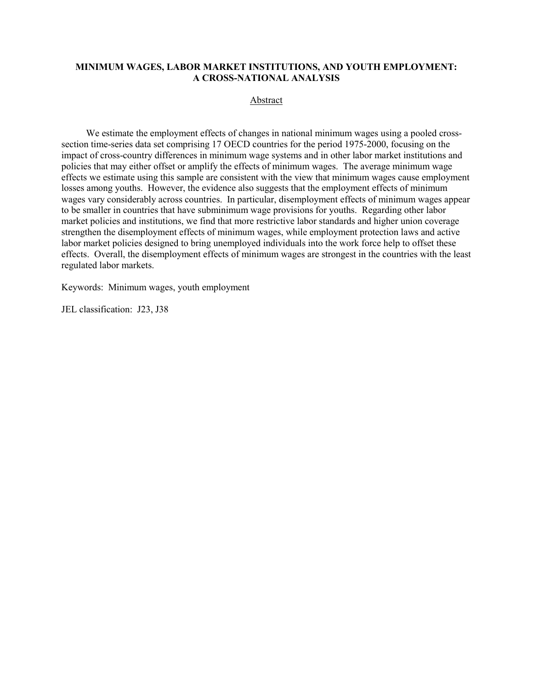#### **MINIMUM WAGES, LABOR MARKET INSTITUTIONS, AND YOUTH EMPLOYMENT: A CROSS-NATIONAL ANALYSIS**

Abstract

We estimate the employment effects of changes in national minimum wages using a pooled crosssection time-series data set comprising 17 OECD countries for the period 1975-2000, focusing on the impact of cross-country differences in minimum wage systems and in other labor market institutions and policies that may either offset or amplify the effects of minimum wages. The average minimum wage effects we estimate using this sample are consistent with the view that minimum wages cause employment losses among youths. However, the evidence also suggests that the employment effects of minimum wages vary considerably across countries. In particular, disemployment effects of minimum wages appear to be smaller in countries that have subminimum wage provisions for youths. Regarding other labor market policies and institutions, we find that more restrictive labor standards and higher union coverage strengthen the disemployment effects of minimum wages, while employment protection laws and active labor market policies designed to bring unemployed individuals into the work force help to offset these effects. Overall, the disemployment effects of minimum wages are strongest in the countries with the least regulated labor markets.

Keywords: Minimum wages, youth employment

JEL classification: J23, J38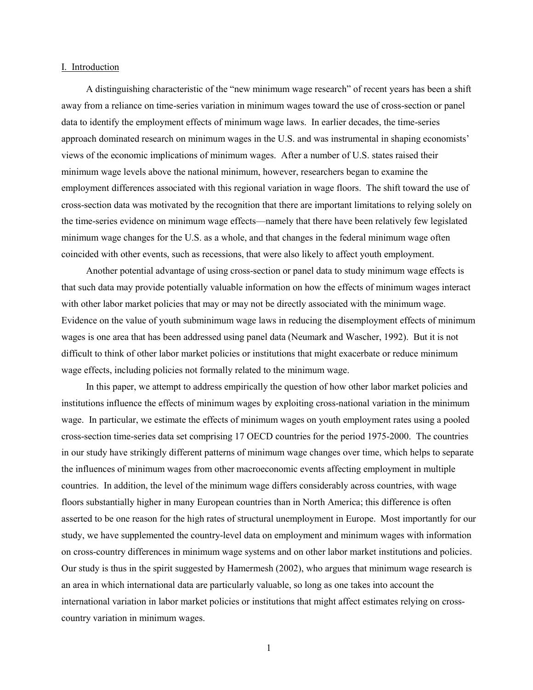#### I. Introduction

A distinguishing characteristic of the "new minimum wage research" of recent years has been a shift away from a reliance on time-series variation in minimum wages toward the use of cross-section or panel data to identify the employment effects of minimum wage laws. In earlier decades, the time-series approach dominated research on minimum wages in the U.S. and was instrumental in shaping economists' views of the economic implications of minimum wages. After a number of U.S. states raised their minimum wage levels above the national minimum, however, researchers began to examine the employment differences associated with this regional variation in wage floors. The shift toward the use of cross-section data was motivated by the recognition that there are important limitations to relying solely on the time-series evidence on minimum wage effects—namely that there have been relatively few legislated minimum wage changes for the U.S. as a whole, and that changes in the federal minimum wage often coincided with other events, such as recessions, that were also likely to affect youth employment.

Another potential advantage of using cross-section or panel data to study minimum wage effects is that such data may provide potentially valuable information on how the effects of minimum wages interact with other labor market policies that may or may not be directly associated with the minimum wage. Evidence on the value of youth subminimum wage laws in reducing the disemployment effects of minimum wages is one area that has been addressed using panel data (Neumark and Wascher, 1992). But it is not difficult to think of other labor market policies or institutions that might exacerbate or reduce minimum wage effects, including policies not formally related to the minimum wage.

In this paper, we attempt to address empirically the question of how other labor market policies and institutions influence the effects of minimum wages by exploiting cross-national variation in the minimum wage. In particular, we estimate the effects of minimum wages on youth employment rates using a pooled cross-section time-series data set comprising 17 OECD countries for the period 1975-2000. The countries in our study have strikingly different patterns of minimum wage changes over time, which helps to separate the influences of minimum wages from other macroeconomic events affecting employment in multiple countries. In addition, the level of the minimum wage differs considerably across countries, with wage floors substantially higher in many European countries than in North America; this difference is often asserted to be one reason for the high rates of structural unemployment in Europe. Most importantly for our study, we have supplemented the country-level data on employment and minimum wages with information on cross-country differences in minimum wage systems and on other labor market institutions and policies. Our study is thus in the spirit suggested by Hamermesh (2002), who argues that minimum wage research is an area in which international data are particularly valuable, so long as one takes into account the international variation in labor market policies or institutions that might affect estimates relying on crosscountry variation in minimum wages.

1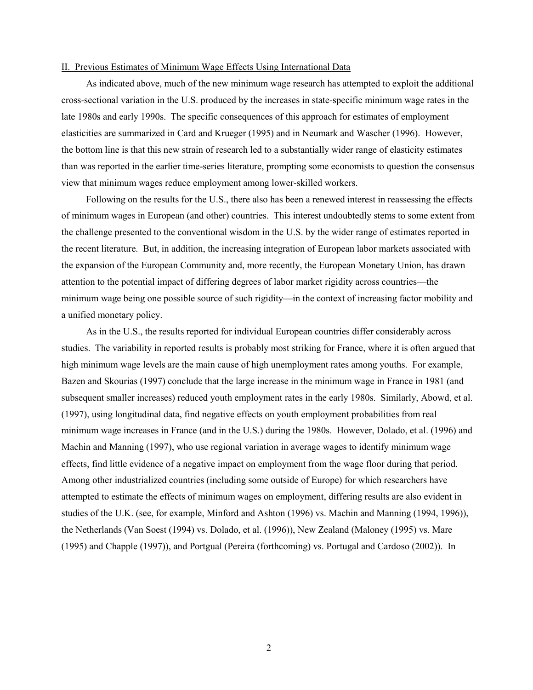#### II. Previous Estimates of Minimum Wage Effects Using International Data

As indicated above, much of the new minimum wage research has attempted to exploit the additional cross-sectional variation in the U.S. produced by the increases in state-specific minimum wage rates in the late 1980s and early 1990s. The specific consequences of this approach for estimates of employment elasticities are summarized in Card and Krueger (1995) and in Neumark and Wascher (1996). However, the bottom line is that this new strain of research led to a substantially wider range of elasticity estimates than was reported in the earlier time-series literature, prompting some economists to question the consensus view that minimum wages reduce employment among lower-skilled workers.

Following on the results for the U.S., there also has been a renewed interest in reassessing the effects of minimum wages in European (and other) countries. This interest undoubtedly stems to some extent from the challenge presented to the conventional wisdom in the U.S. by the wider range of estimates reported in the recent literature. But, in addition, the increasing integration of European labor markets associated with the expansion of the European Community and, more recently, the European Monetary Union, has drawn attention to the potential impact of differing degrees of labor market rigidity across countries—the minimum wage being one possible source of such rigidity—in the context of increasing factor mobility and a unified monetary policy.

As in the U.S., the results reported for individual European countries differ considerably across studies. The variability in reported results is probably most striking for France, where it is often argued that high minimum wage levels are the main cause of high unemployment rates among youths. For example, Bazen and Skourias (1997) conclude that the large increase in the minimum wage in France in 1981 (and subsequent smaller increases) reduced youth employment rates in the early 1980s. Similarly, Abowd, et al. (1997), using longitudinal data, find negative effects on youth employment probabilities from real minimum wage increases in France (and in the U.S.) during the 1980s. However, Dolado, et al. (1996) and Machin and Manning (1997), who use regional variation in average wages to identify minimum wage effects, find little evidence of a negative impact on employment from the wage floor during that period. Among other industrialized countries (including some outside of Europe) for which researchers have attempted to estimate the effects of minimum wages on employment, differing results are also evident in studies of the U.K. (see, for example, Minford and Ashton (1996) vs. Machin and Manning (1994, 1996)), the Netherlands (Van Soest (1994) vs. Dolado, et al. (1996)), New Zealand (Maloney (1995) vs. Mare (1995) and Chapple (1997)), and Portgual (Pereira (forthcoming) vs. Portugal and Cardoso (2002)). In

2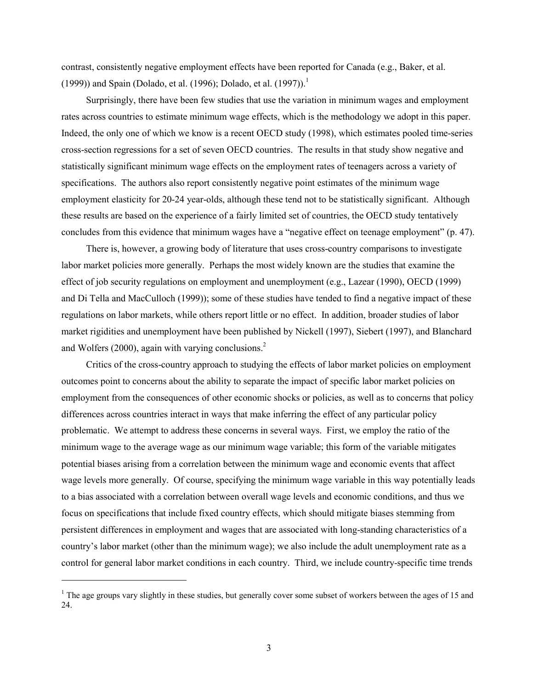contrast, consistently negative employment effects have been reported for Canada (e.g., Baker, et al. ([1](#page-4-0)999)) and Spain (Dolado, et al. (1996); Dolado, et al. (1997)).<sup>1</sup>

Surprisingly, there have been few studies that use the variation in minimum wages and employment rates across countries to estimate minimum wage effects, which is the methodology we adopt in this paper. Indeed, the only one of which we know is a recent OECD study (1998), which estimates pooled time-series cross-section regressions for a set of seven OECD countries. The results in that study show negative and statistically significant minimum wage effects on the employment rates of teenagers across a variety of specifications. The authors also report consistently negative point estimates of the minimum wage employment elasticity for 20-24 year-olds, although these tend not to be statistically significant. Although these results are based on the experience of a fairly limited set of countries, the OECD study tentatively concludes from this evidence that minimum wages have a "negative effect on teenage employment" (p. 47).

There is, however, a growing body of literature that uses cross-country comparisons to investigate labor market policies more generally. Perhaps the most widely known are the studies that examine the effect of job security regulations on employment and unemployment (e.g., Lazear (1990), OECD (1999) and Di Tella and MacCulloch (1999)); some of these studies have tended to find a negative impact of these regulations on labor markets, while others report little or no effect. In addition, broader studies of labor market rigidities and unemployment have been published by Nickell (1997), Siebert (1997), and Blanchard and Wolfers (2000), again with varying conclusions.<sup>2</sup>

Critics of the cross-country approach to studying the effects of labor market policies on employment outcomes point to concerns about the ability to separate the impact of specific labor market policies on employment from the consequences of other economic shocks or policies, as well as to concerns that policy differences across countries interact in ways that make inferring the effect of any particular policy problematic. We attempt to address these concerns in several ways. First, we employ the ratio of the minimum wage to the average wage as our minimum wage variable; this form of the variable mitigates potential biases arising from a correlation between the minimum wage and economic events that affect wage levels more generally. Of course, specifying the minimum wage variable in this way potentially leads to a bias associated with a correlation between overall wage levels and economic conditions, and thus we focus on specifications that include fixed country effects, which should mitigate biases stemming from persistent differences in employment and wages that are associated with long-standing characteristics of a country's labor market (other than the minimum wage); we also include the adult unemployment rate as a control for general labor market conditions in each country. Third, we include country-specific time trends

<span id="page-4-1"></span>l

<span id="page-4-0"></span> $1$  The age groups vary slightly in these studies, but generally cover some subset of workers between the ages of 15 and 24.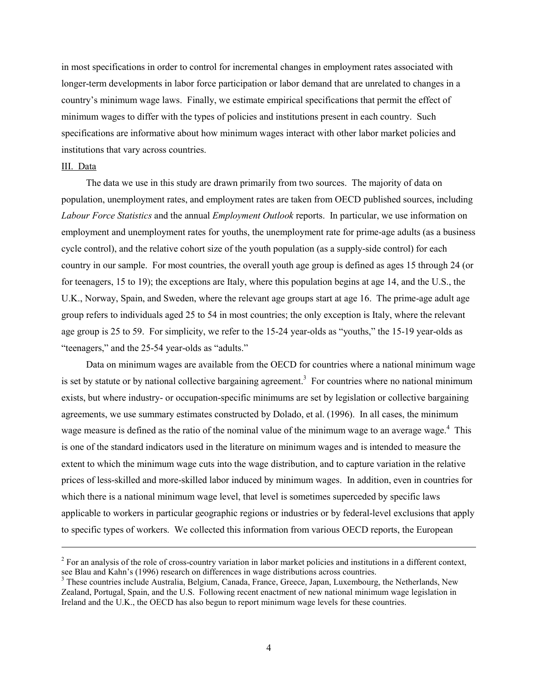in most specifications in order to control for incremental changes in employment rates associated with longer-term developments in labor force participation or labor demand that are unrelated to changes in a country's minimum wage laws. Finally, we estimate empirical specifications that permit the effect of minimum wages to differ with the types of policies and institutions present in each country. Such specifications are informative about how minimum wages interact with other labor market policies and institutions that vary across countries.

#### III. Data

l

The data we use in this study are drawn primarily from two sources. The majority of data on population, unemployment rates, and employment rates are taken from OECD published sources, including *Labour Force Statistics* and the annual *Employment Outlook* reports. In particular, we use information on employment and unemployment rates for youths, the unemployment rate for prime-age adults (as a business cycle control), and the relative cohort size of the youth population (as a supply-side control) for each country in our sample. For most countries, the overall youth age group is defined as ages 15 through 24 (or for teenagers, 15 to 19); the exceptions are Italy, where this population begins at age 14, and the U.S., the U.K., Norway, Spain, and Sweden, where the relevant age groups start at age 16. The prime-age adult age group refers to individuals aged 25 to 54 in most countries; the only exception is Italy, where the relevant age group is 25 to 59. For simplicity, we refer to the 15-24 year-olds as "youths," the 15-19 year-olds as "teenagers," and the 25-54 year-olds as "adults."

Data on minimum wages are available from the OECD for countries where a national minimum wage is set by statute or by national collective bargaining agreement.<sup>[3](#page-5-0)</sup> For countries where no national minimum exists, but where industry- or occupation-specific minimums are set by legislation or collective bargaining agreements, we use summary estimates constructed by Dolado, et al. (1996). In all cases, the minimum wage measure is defined as the ratio of the nominal value of the minimum wage to an average wage.<sup>[4](#page-5-1)</sup> This is one of the standard indicators used in the literature on minimum wages and is intended to measure the extent to which the minimum wage cuts into the wage distribution, and to capture variation in the relative prices of less-skilled and more-skilled labor induced by minimum wages. In addition, even in countries for which there is a national minimum wage level, that level is sometimes superceded by specific laws applicable to workers in particular geographic regions or industries or by federal-level exclusions that apply to specific types of workers. We collected this information from various OECD reports, the European

 $2^2$  For an analysis of the role of cross-country variation in labor market policies and institutions in a different context, see Blau and Kahn's (1996) research on differences in wage distributions across countries.

<span id="page-5-1"></span><span id="page-5-0"></span><sup>&</sup>lt;sup>3</sup> These countries include Australia, Belgium, Canada, France, Greece, Japan, Luxembourg, the Netherlands, New Zealand, Portugal, Spain, and the U.S. Following recent enactment of new national minimum wage legislation in Ireland and the U.K., the OECD has also begun to report minimum wage levels for these countries.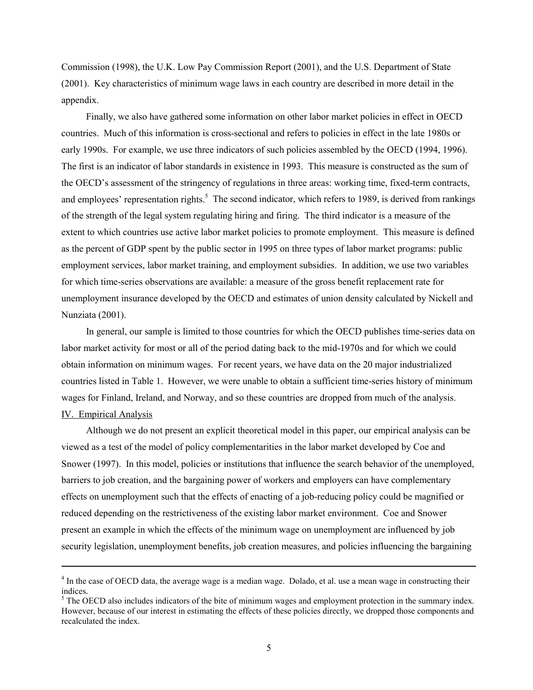Commission (1998), the U.K. Low Pay Commission Report (2001), and the U.S. Department of State (2001). Key characteristics of minimum wage laws in each country are described in more detail in the appendix.

Finally, we also have gathered some information on other labor market policies in effect in OECD countries. Much of this information is cross-sectional and refers to policies in effect in the late 1980s or early 1990s. For example, we use three indicators of such policies assembled by the OECD (1994, 1996). The first is an indicator of labor standards in existence in 1993. This measure is constructed as the sum of the OECD's assessment of the stringency of regulations in three areas: working time, fixed-term contracts, and employees' representation rights.<sup>[5](#page-6-0)</sup> The second indicator, which refers to 1989, is derived from rankings of the strength of the legal system regulating hiring and firing. The third indicator is a measure of the extent to which countries use active labor market policies to promote employment. This measure is defined as the percent of GDP spent by the public sector in 1995 on three types of labor market programs: public employment services, labor market training, and employment subsidies. In addition, we use two variables for which time-series observations are available: a measure of the gross benefit replacement rate for unemployment insurance developed by the OECD and estimates of union density calculated by Nickell and Nunziata (2001).

In general, our sample is limited to those countries for which the OECD publishes time-series data on labor market activity for most or all of the period dating back to the mid-1970s and for which we could obtain information on minimum wages. For recent years, we have data on the 20 major industrialized countries listed in Table 1. However, we were unable to obtain a sufficient time-series history of minimum wages for Finland, Ireland, and Norway, and so these countries are dropped from much of the analysis. IV. Empirical Analysis

Although we do not present an explicit theoretical model in this paper, our empirical analysis can be viewed as a test of the model of policy complementarities in the labor market developed by Coe and Snower (1997). In this model, policies or institutions that influence the search behavior of the unemployed, barriers to job creation, and the bargaining power of workers and employers can have complementary effects on unemployment such that the effects of enacting of a job-reducing policy could be magnified or reduced depending on the restrictiveness of the existing labor market environment. Coe and Snower present an example in which the effects of the minimum wage on unemployment are influenced by job security legislation, unemployment benefits, job creation measures, and policies influencing the bargaining

l

<sup>&</sup>lt;sup>4</sup> In the case of OECD data, the average wage is a median wage. Dolado, et al. use a mean wage in constructing their indices.

<span id="page-6-0"></span> $<sup>5</sup>$  The OECD also includes indicators of the bite of minimum wages and employment protection in the summary index.</sup> However, because of our interest in estimating the effects of these policies directly, we dropped those components and recalculated the index.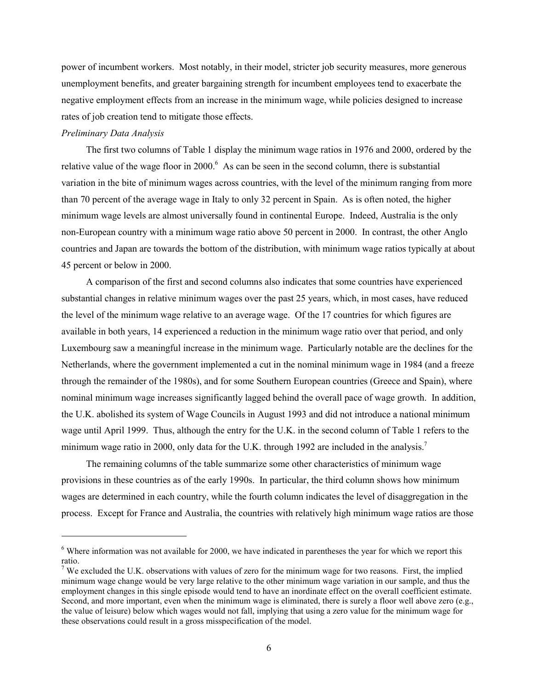power of incumbent workers. Most notably, in their model, stricter job security measures, more generous unemployment benefits, and greater bargaining strength for incumbent employees tend to exacerbate the negative employment effects from an increase in the minimum wage, while policies designed to increase rates of job creation tend to mitigate those effects.

#### *Preliminary Data Analysis*

l

The first two columns of Table 1 display the minimum wage ratios in 1976 and 2000, ordered by the relative value of the wage floor in 2000.<sup>6</sup> As can be seen in the second column, there is substantial variation in the bite of minimum wages across countries, with the level of the minimum ranging from more than 70 percent of the average wage in Italy to only 32 percent in Spain. As is often noted, the higher minimum wage levels are almost universally found in continental Europe. Indeed, Australia is the only non-European country with a minimum wage ratio above 50 percent in 2000. In contrast, the other Anglo countries and Japan are towards the bottom of the distribution, with minimum wage ratios typically at about 45 percent or below in 2000.

A comparison of the first and second columns also indicates that some countries have experienced substantial changes in relative minimum wages over the past 25 years, which, in most cases, have reduced the level of the minimum wage relative to an average wage. Of the 17 countries for which figures are available in both years, 14 experienced a reduction in the minimum wage ratio over that period, and only Luxembourg saw a meaningful increase in the minimum wage. Particularly notable are the declines for the Netherlands, where the government implemented a cut in the nominal minimum wage in 1984 (and a freeze through the remainder of the 1980s), and for some Southern European countries (Greece and Spain), where nominal minimum wage increases significantly lagged behind the overall pace of wage growth. In addition, the U.K. abolished its system of Wage Councils in August 1993 and did not introduce a national minimum wage until April 1999. Thus, although the entry for the U.K. in the second column of Table 1 refers to the minimum wage ratio in 2000, only data for the U.K. through 1992 are included in the analysis.<sup>7</sup>

The remaining columns of the table summarize some other characteristics of minimum wage provisions in these countries as of the early 1990s. In particular, the third column shows how minimum wages are determined in each country, while the fourth column indicates the level of disaggregation in the process. Except for France and Australia, the countries with relatively high minimum wage ratios are those

<span id="page-7-0"></span> $6$  Where information was not available for 2000, we have indicated in parentheses the year for which we report this ratio.

<span id="page-7-1"></span><sup>&</sup>lt;sup>7</sup> We excluded the U.K. observations with values of zero for the minimum wage for two reasons. First, the implied minimum wage change would be very large relative to the other minimum wage variation in our sample, and thus the employment changes in this single episode would tend to have an inordinate effect on the overall coefficient estimate. Second, and more important, even when the minimum wage is eliminated, there is surely a floor well above zero (e.g., the value of leisure) below which wages would not fall, implying that using a zero value for the minimum wage for these observations could result in a gross misspecification of the model.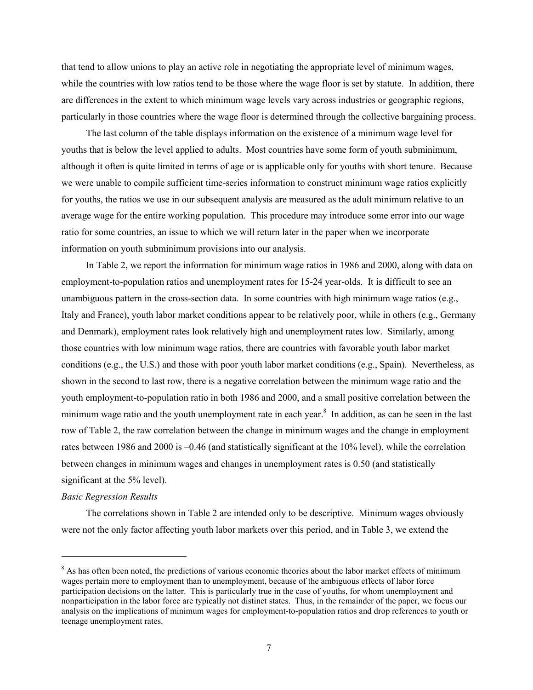that tend to allow unions to play an active role in negotiating the appropriate level of minimum wages, while the countries with low ratios tend to be those where the wage floor is set by statute. In addition, there are differences in the extent to which minimum wage levels vary across industries or geographic regions, particularly in those countries where the wage floor is determined through the collective bargaining process.

The last column of the table displays information on the existence of a minimum wage level for youths that is below the level applied to adults. Most countries have some form of youth subminimum, although it often is quite limited in terms of age or is applicable only for youths with short tenure. Because we were unable to compile sufficient time-series information to construct minimum wage ratios explicitly for youths, the ratios we use in our subsequent analysis are measured as the adult minimum relative to an average wage for the entire working population. This procedure may introduce some error into our wage ratio for some countries, an issue to which we will return later in the paper when we incorporate information on youth subminimum provisions into our analysis.

In Table 2, we report the information for minimum wage ratios in 1986 and 2000, along with data on employment-to-population ratios and unemployment rates for 15-24 year-olds. It is difficult to see an unambiguous pattern in the cross-section data. In some countries with high minimum wage ratios (e.g., Italy and France), youth labor market conditions appear to be relatively poor, while in others (e.g., Germany and Denmark), employment rates look relatively high and unemployment rates low. Similarly, among those countries with low minimum wage ratios, there are countries with favorable youth labor market conditions (e.g., the U.S.) and those with poor youth labor market conditions (e.g., Spain). Nevertheless, as shown in the second to last row, there is a negative correlation between the minimum wage ratio and the youth employment-to-population ratio in both 1986 and 2000, and a small positive correlation between the minimum wage ratio and the youth unemployment rate in each year.<sup>8</sup> In addition, as can be seen in the last row of Table 2, the raw correlation between the change in minimum wages and the change in employment rates between 1986 and 2000 is –0.46 (and statistically significant at the 10% level), while the correlation between changes in minimum wages and changes in unemployment rates is 0.50 (and statistically significant at the 5% level).

#### *Basic Regression Results*

 $\overline{\phantom{a}}$ 

The correlations shown in Table 2 are intended only to be descriptive. Minimum wages obviously were not the only factor affecting youth labor markets over this period, and in Table 3, we extend the

<span id="page-8-0"></span><sup>&</sup>lt;sup>8</sup> As has often been noted, the predictions of various economic theories about the labor market effects of minimum wages pertain more to employment than to unemployment, because of the ambiguous effects of labor force participation decisions on the latter. This is particularly true in the case of youths, for whom unemployment and nonparticipation in the labor force are typically not distinct states. Thus, in the remainder of the paper, we focus our analysis on the implications of minimum wages for employment-to-population ratios and drop references to youth or teenage unemployment rates.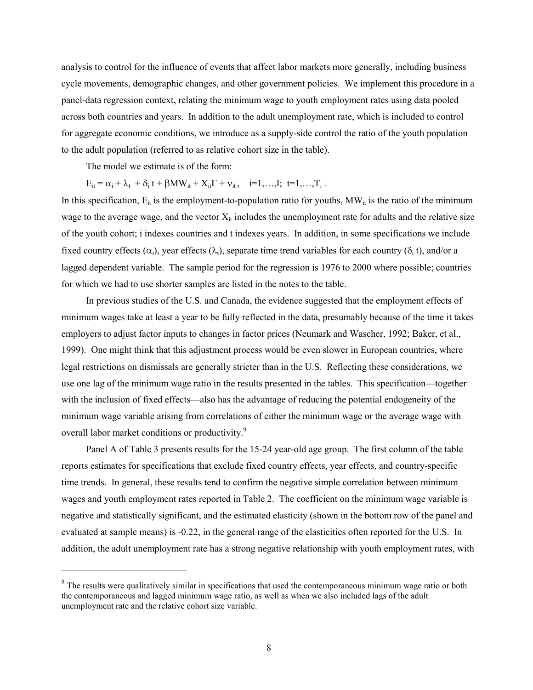analysis to control for the influence of events that affect labor markets more generally, including business cycle movements, demographic changes, and other government policies. We implement this procedure in a panel-data regression context, relating the minimum wage to youth employment rates using data pooled across both countries and years. In addition to the adult unemployment rate, which is included to control for aggregate economic conditions, we introduce as a supply-side control the ratio of the youth population to the adult population (referred to as relative cohort size in the table).

The model we estimate is of the form:

 $\overline{\phantom{a}}$ 

 $E_{it} = \alpha_i + \lambda_t + \delta_i t + \beta MW_{it} + X_{it} \Gamma + \nu_{it}, \quad i=1,...,I; t=1,...,T_i$ .

In this specification,  $E_{it}$  is the employment-to-population ratio for youths,  $MW_{it}$  is the ratio of the minimum wage to the average wage, and the vector  $X_{it}$  includes the unemployment rate for adults and the relative size of the youth cohort; i indexes countries and t indexes years. In addition, in some specifications we include fixed country effects  $(\alpha_i)$ , year effects  $(\lambda_t)$ , separate time trend variables for each country  $(\delta_i t)$ , and/or a lagged dependent variable. The sample period for the regression is 1976 to 2000 where possible; countries for which we had to use shorter samples are listed in the notes to the table.

In previous studies of the U.S. and Canada, the evidence suggested that the employment effects of minimum wages take at least a year to be fully reflected in the data, presumably because of the time it takes employers to adjust factor inputs to changes in factor prices (Neumark and Wascher, 1992; Baker, et al., 1999). One might think that this adjustment process would be even slower in European countries, where legal restrictions on dismissals are generally stricter than in the U.S. Reflecting these considerations, we use one lag of the minimum wage ratio in the results presented in the tables. This specification—together with the inclusion of fixed effects—also has the advantage of reducing the potential endogeneity of the minimum wage variable arising from correlations of either the minimum wage or the average wage with overall labor market conditions or productivity.<sup>[9](#page-9-0)</sup>

Panel A of Table 3 presents results for the 15-24 year-old age group. The first column of the table reports estimates for specifications that exclude fixed country effects, year effects, and country-specific time trends. In general, these results tend to confirm the negative simple correlation between minimum wages and youth employment rates reported in Table 2. The coefficient on the minimum wage variable is negative and statistically significant, and the estimated elasticity (shown in the bottom row of the panel and evaluated at sample means) is -0.22, in the general range of the elasticities often reported for the U.S. In addition, the adult unemployment rate has a strong negative relationship with youth employment rates, with

<span id="page-9-0"></span><sup>&</sup>lt;sup>9</sup> The results were qualitatively similar in specifications that used the contemporaneous minimum wage ratio or both the contemporaneous and lagged minimum wage ratio, as well as when we also included lags of the adult unemployment rate and the relative cohort size variable.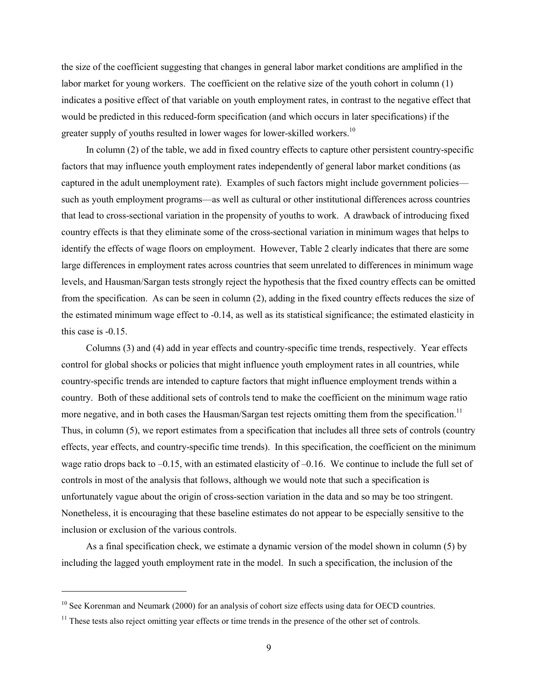the size of the coefficient suggesting that changes in general labor market conditions are amplified in the labor market for young workers. The coefficient on the relative size of the youth cohort in column (1) indicates a positive effect of that variable on youth employment rates, in contrast to the negative effect that would be predicted in this reduced-form specification (and which occurs in later specifications) if the greater supply of youths resulted in lower wages for lower-skilled workers.<sup>10</sup>

In column (2) of the table, we add in fixed country effects to capture other persistent country-specific factors that may influence youth employment rates independently of general labor market conditions (as captured in the adult unemployment rate). Examples of such factors might include government policies such as youth employment programs—as well as cultural or other institutional differences across countries that lead to cross-sectional variation in the propensity of youths to work. A drawback of introducing fixed country effects is that they eliminate some of the cross-sectional variation in minimum wages that helps to identify the effects of wage floors on employment. However, Table 2 clearly indicates that there are some large differences in employment rates across countries that seem unrelated to differences in minimum wage levels, and Hausman/Sargan tests strongly reject the hypothesis that the fixed country effects can be omitted from the specification. As can be seen in column (2), adding in the fixed country effects reduces the size of the estimated minimum wage effect to -0.14, as well as its statistical significance; the estimated elasticity in this case is -0.15.

Columns (3) and (4) add in year effects and country-specific time trends, respectively. Year effects control for global shocks or policies that might influence youth employment rates in all countries, while country-specific trends are intended to capture factors that might influence employment trends within a country. Both of these additional sets of controls tend to make the coefficient on the minimum wage ratio more negative, and in both cases the Hausman/Sargan test rejects omitting them from the specification.<sup>11</sup> Thus, in column (5), we report estimates from a specification that includes all three sets of controls (country effects, year effects, and country-specific time trends). In this specification, the coefficient on the minimum wage ratio drops back to  $-0.15$ , with an estimated elasticity of  $-0.16$ . We continue to include the full set of controls in most of the analysis that follows, although we would note that such a specification is unfortunately vague about the origin of cross-section variation in the data and so may be too stringent. Nonetheless, it is encouraging that these baseline estimates do not appear to be especially sensitive to the inclusion or exclusion of the various controls.

As a final specification check, we estimate a dynamic version of the model shown in column (5) by including the lagged youth employment rate in the model. In such a specification, the inclusion of the

 $\overline{\phantom{a}}$ 

<span id="page-10-0"></span><sup>&</sup>lt;sup>10</sup> See Korenman and Neumark (2000) for an analysis of cohort size effects using data for OECD countries.

<span id="page-10-1"></span> $11$  These tests also reject omitting year effects or time trends in the presence of the other set of controls.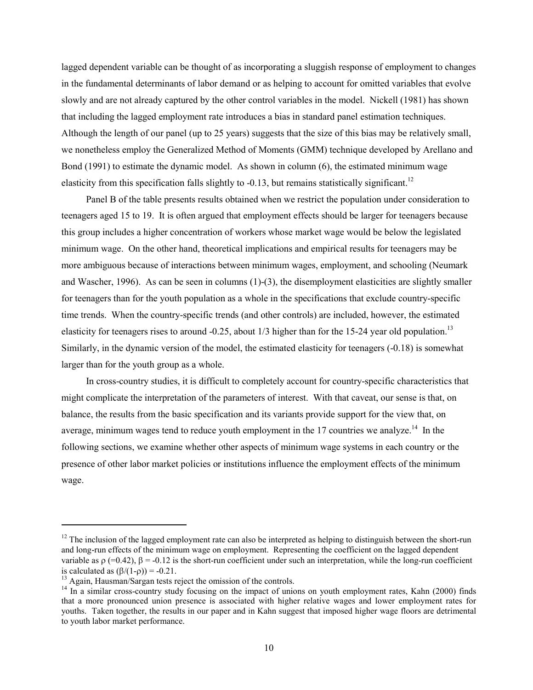lagged dependent variable can be thought of as incorporating a sluggish response of employment to changes in the fundamental determinants of labor demand or as helping to account for omitted variables that evolve slowly and are not already captured by the other control variables in the model. Nickell (1981) has shown that including the lagged employment rate introduces a bias in standard panel estimation techniques. Although the length of our panel (up to 25 years) suggests that the size of this bias may be relatively small, we nonetheless employ the Generalized Method of Moments (GMM) technique developed by Arellano and Bond (1991) to estimate the dynamic model. As shown in column (6), the estimated minimum wage elasticity from this specification falls slightly to  $-0.13$ , but remains statistically significant.<sup>12</sup>

Panel B of the table presents results obtained when we restrict the population under consideration to teenagers aged 15 to 19. It is often argued that employment effects should be larger for teenagers because this group includes a higher concentration of workers whose market wage would be below the legislated minimum wage. On the other hand, theoretical implications and empirical results for teenagers may be more ambiguous because of interactions between minimum wages, employment, and schooling (Neumark and Wascher, 1996). As can be seen in columns (1)-(3), the disemployment elasticities are slightly smaller for teenagers than for the youth population as a whole in the specifications that exclude country-specific time trends. When the country-specific trends (and other controls) are included, however, the estimated elasticity for teenagers rises to around -0.25, about 1/3 higher than for the 15-24 year old population.<sup>13</sup> Similarly, in the dynamic version of the model, the estimated elasticity for teenagers (-0.18) is somewhat larger than for the youth group as a whole.

In cross-country studies, it is difficult to completely account for country-specific characteristics that might complicate the interpretation of the parameters of interest. With that caveat, our sense is that, on balance, the results from the basic specification and its variants provide support for the view that, on average, minimum wages tend to reduce youth employment in the  $17$  countries we analyze.<sup>14</sup> In the following sections, we examine whether other aspects of minimum wage systems in each country or the presence of other labor market policies or institutions influence the employment effects of the minimum wage.

 $\overline{a}$ 

<span id="page-11-0"></span> $12$  The inclusion of the lagged employment rate can also be interpreted as helping to distinguish between the short-run and long-run effects of the minimum wage on employment. Representing the coefficient on the lagged dependent variable as  $\rho$  (=0.42),  $\beta$  = -0.12 is the short-run coefficient under such an interpretation, while the long-run coefficient is calculated as  $(\beta/(1-\rho)) = -0.21$ .<br><sup>13</sup> Again, Hausman/Sargan tests reject the omission of the controls.

<span id="page-11-1"></span>

<span id="page-11-2"></span> $^{14}$  In a similar cross-country study focusing on the impact of unions on youth employment rates, Kahn (2000) finds that a more pronounced union presence is associated with higher relative wages and lower employment rates for youths. Taken together, the results in our paper and in Kahn suggest that imposed higher wage floors are detrimental to youth labor market performance.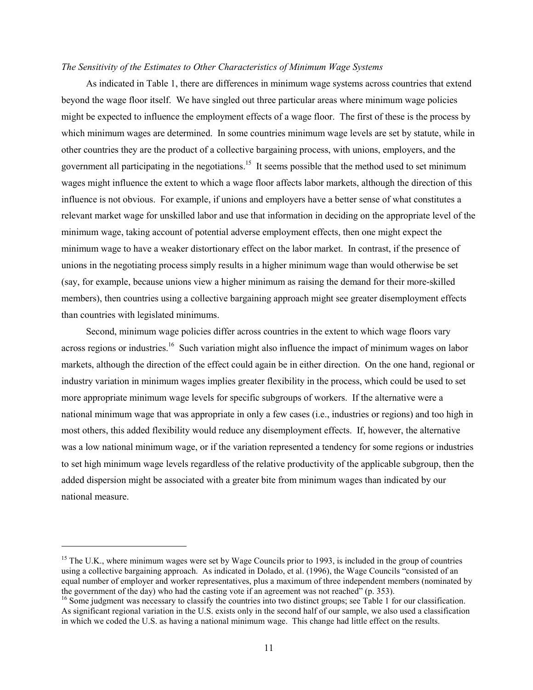#### *The Sensitivity of the Estimates to Other Characteristics of Minimum Wage Systems*

As indicated in Table 1, there are differences in minimum wage systems across countries that extend beyond the wage floor itself. We have singled out three particular areas where minimum wage policies might be expected to influence the employment effects of a wage floor. The first of these is the process by which minimum wages are determined. In some countries minimum wage levels are set by statute, while in other countries they are the product of a collective bargaining process, with unions, employers, and the government all participating in the negotiations.<sup>15</sup> It seems possible that the method used to set minimum wages might influence the extent to which a wage floor affects labor markets, although the direction of this influence is not obvious. For example, if unions and employers have a better sense of what constitutes a relevant market wage for unskilled labor and use that information in deciding on the appropriate level of the minimum wage, taking account of potential adverse employment effects, then one might expect the minimum wage to have a weaker distortionary effect on the labor market. In contrast, if the presence of unions in the negotiating process simply results in a higher minimum wage than would otherwise be set (say, for example, because unions view a higher minimum as raising the demand for their more-skilled members), then countries using a collective bargaining approach might see greater disemployment effects than countries with legislated minimums.

Second, minimum wage policies differ across countries in the extent to which wage floors vary across regions or industries.<sup>16</sup> Such variation might also influence the impact of minimum wages on labor markets, although the direction of the effect could again be in either direction. On the one hand, regional or industry variation in minimum wages implies greater flexibility in the process, which could be used to set more appropriate minimum wage levels for specific subgroups of workers. If the alternative were a national minimum wage that was appropriate in only a few cases (i.e., industries or regions) and too high in most others, this added flexibility would reduce any disemployment effects. If, however, the alternative was a low national minimum wage, or if the variation represented a tendency for some regions or industries to set high minimum wage levels regardless of the relative productivity of the applicable subgroup, then the added dispersion might be associated with a greater bite from minimum wages than indicated by our national measure.

l

<span id="page-12-0"></span><sup>&</sup>lt;sup>15</sup> The U.K., where minimum wages were set by Wage Councils prior to 1993, is included in the group of countries using a collective bargaining approach. As indicated in Dolado, et al. (1996), the Wage Councils "consisted of an equal number of employer and worker representatives, plus a maximum of three independent members (nominated by the government of the day) who had the casting vote if an agreement was not reached" (p. 353).

<span id="page-12-1"></span> $16$  Some judgment was necessary to classify the countries into two distinct groups; see Table 1 for our classification. As significant regional variation in the U.S. exists only in the second half of our sample, we also used a classification in which we coded the U.S. as having a national minimum wage. This change had little effect on the results.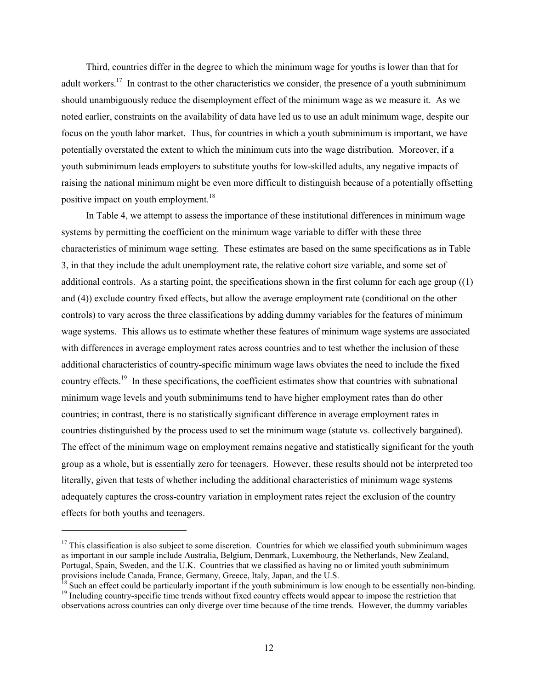<span id="page-13-2"></span>Third, countries differ in the degree to which the minimum wage for youths is lower than that for adult workers.<sup>17</sup> In contrast to the other characteristics we consider, the presence of a youth subminimum should unambiguously reduce the disemployment effect of the minimum wage as we measure it. As we noted earlier, constraints on the availability of data have led us to use an adult minimum wage, despite our focus on the youth labor market. Thus, for countries in which a youth subminimum is important, we have potentially overstated the extent to which the minimum cuts into the wage distribution. Moreover, if a youth subminimum leads employers to substitute youths for low-skilled adults, any negative impacts of raising the national minimum might be even more difficult to distinguish because of a potentially offsetting positive impact on youth employment.<sup>[18](#page-13-1)</sup>

In Table 4, we attempt to assess the importance of these institutional differences in minimum wage systems by permitting the coefficient on the minimum wage variable to differ with these three characteristics of minimum wage setting. These estimates are based on the same specifications as in Table 3, in that they include the adult unemployment rate, the relative cohort size variable, and some set of additional controls. As a starting point, the specifications shown in the first column for each age group ((1) and (4)) exclude country fixed effects, but allow the average employment rate (conditional on the other controls) to vary across the three classifications by adding dummy variables for the features of minimum wage systems. This allows us to estimate whether these features of minimum wage systems are associated with differences in average employment rates across countries and to test whether the inclusion of these additional characteristics of country-specific minimum wage laws obviates the need to include the fixed country effects.<sup>19</sup> In these specifications, the coefficient estimates show that countries with subnational minimum wage levels and youth subminimums tend to have higher employment rates than do other countries; in contrast, there is no statistically significant difference in average employment rates in countries distinguished by the process used to set the minimum wage (statute vs. collectively bargained). The effect of the minimum wage on employment remains negative and statistically significant for the youth group as a whole, but is essentially zero for teenagers. However, these results should not be interpreted too literally, given that tests of whether including the additional characteristics of minimum wage systems adequately captures the cross-country variation in employment rates reject the exclusion of the country effects for both youths and teenagers.

 $\overline{a}$ 

<span id="page-13-0"></span> $17$  This classification is also subject to some discretion. Countries for which we classified youth subminimum wages as important in our sample include Australia, Belgium, Denmark, Luxembourg, the Netherlands, New Zealand, Portugal, Spain, Sweden, and the U.K. Countries that we classified as having no or limited youth subminimum provisions include Canada, France, Germany, Greece, Italy, Japan, and the U.S.

<span id="page-13-1"></span><sup>&</sup>lt;sup>18</sup> Such an effect could be particularly important if the youth subminimum is low enough to be essentially non-binding.<br><sup>19</sup> Including country-specific time trends without fixed country effects would appear to impose the observations across countries can only diverge over time because of the time trends. However, the dummy variables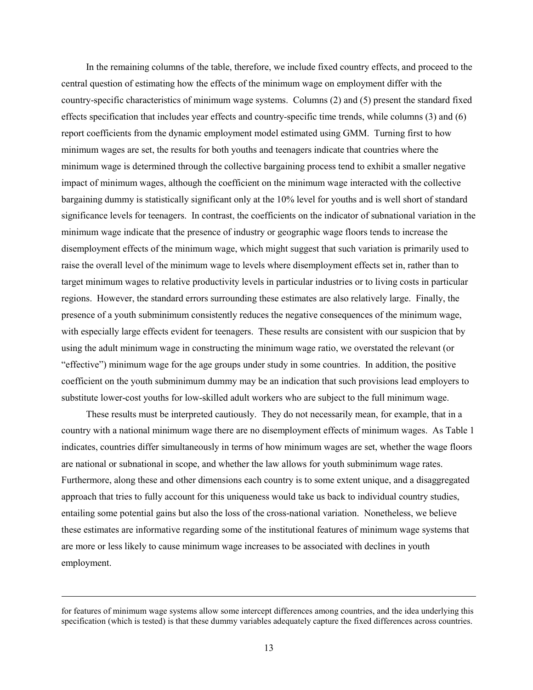In the remaining columns of the table, therefore, we include fixed country effects, and proceed to the central question of estimating how the effects of the minimum wage on employment differ with the country-specific characteristics of minimum wage systems. Columns (2) and (5) present the standard fixed effects specification that includes year effects and country-specific time trends, while columns (3) and (6) report coefficients from the dynamic employment model estimated using GMM. Turning first to how minimum wages are set, the results for both youths and teenagers indicate that countries where the minimum wage is determined through the collective bargaining process tend to exhibit a smaller negative impact of minimum wages, although the coefficient on the minimum wage interacted with the collective bargaining dummy is statistically significant only at the 10% level for youths and is well short of standard significance levels for teenagers. In contrast, the coefficients on the indicator of subnational variation in the minimum wage indicate that the presence of industry or geographic wage floors tends to increase the disemployment effects of the minimum wage, which might suggest that such variation is primarily used to raise the overall level of the minimum wage to levels where disemployment effects set in, rather than to target minimum wages to relative productivity levels in particular industries or to living costs in particular regions. However, the standard errors surrounding these estimates are also relatively large. Finally, the presence of a youth subminimum consistently reduces the negative consequences of the minimum wage, with especially large effects evident for teenagers. These results are consistent with our suspicion that by using the adult minimum wage in constructing the minimum wage ratio, we overstated the relevant (or "effective") minimum wage for the age groups under study in some countries. In addition, the positive coefficient on the youth subminimum dummy may be an indication that such provisions lead employers to substitute lower-cost youths for low-skilled adult workers who are subject to the full minimum wage.

These results must be interpreted cautiously. They do not necessarily mean, for example, that in a country with a national minimum wage there are no disemployment effects of minimum wages. As Table 1 indicates, countries differ simultaneously in terms of how minimum wages are set, whether the wage floors are national or subnational in scope, and whether the law allows for youth subminimum wage rates. Furthermore, along these and other dimensions each country is to some extent unique, and a disaggregated approach that tries to fully account for this uniqueness would take us back to individual country studies, entailing some potential gains but also the loss of the cross-national variation. Nonetheless, we believe these estimates are informative regarding some of the institutional features of minimum wage systems that are more or less likely to cause minimum wage increases to be associated with declines in youth employment.

l

for features of minimum wage systems allow some intercept differences among countries, and the idea underlying this specification (which is tested) is that these dummy variables adequately capture the fixed differences across countries.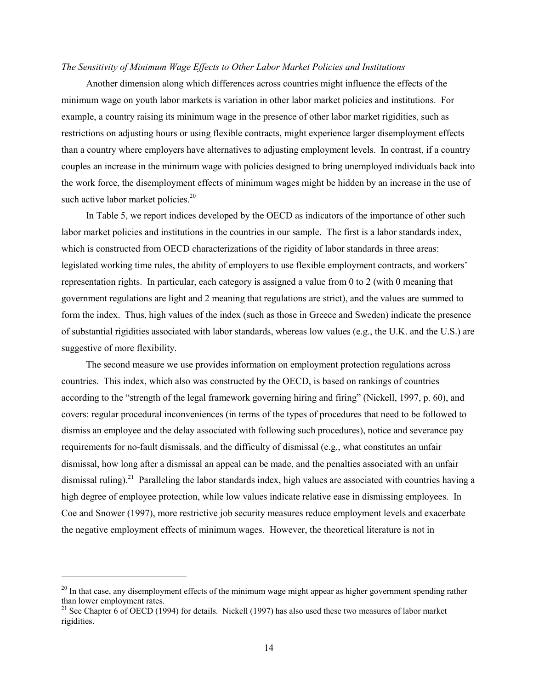#### *The Sensitivity of Minimum Wage Effects to Other Labor Market Policies and Institutions*

Another dimension along which differences across countries might influence the effects of the minimum wage on youth labor markets is variation in other labor market policies and institutions. For example, a country raising its minimum wage in the presence of other labor market rigidities, such as restrictions on adjusting hours or using flexible contracts, might experience larger disemployment effects than a country where employers have alternatives to adjusting employment levels. In contrast, if a country couples an increase in the minimum wage with policies designed to bring unemployed individuals back into the work force, the disemployment effects of minimum wages might be hidden by an increase in the use of such active labor market policies. $20$ 

In Table 5, we report indices developed by the OECD as indicators of the importance of other such labor market policies and institutions in the countries in our sample. The first is a labor standards index, which is constructed from OECD characterizations of the rigidity of labor standards in three areas: legislated working time rules, the ability of employers to use flexible employment contracts, and workers' representation rights. In particular, each category is assigned a value from 0 to 2 (with 0 meaning that government regulations are light and 2 meaning that regulations are strict), and the values are summed to form the index. Thus, high values of the index (such as those in Greece and Sweden) indicate the presence of substantial rigidities associated with labor standards, whereas low values (e.g., the U.K. and the U.S.) are suggestive of more flexibility.

The second measure we use provides information on employment protection regulations across countries. This index, which also was constructed by the OECD, is based on rankings of countries according to the "strength of the legal framework governing hiring and firing" (Nickell, 1997, p. 60), and covers: regular procedural inconveniences (in terms of the types of procedures that need to be followed to dismiss an employee and the delay associated with following such procedures), notice and severance pay requirements for no-fault dismissals, and the difficulty of dismissal (e.g., what constitutes an unfair dismissal, how long after a dismissal an appeal can be made, and the penalties associated with an unfair dismissal ruling).<sup>21</sup> Paralleling the labor standards index, high values are associated with countries having a high degree of employee protection, while low values indicate relative ease in dismissing employees. In Coe and Snower (1997), more restrictive job security measures reduce employment levels and exacerbate the negative employment effects of minimum wages. However, the theoretical literature is not in

 $\overline{a}$ 

<span id="page-15-0"></span><sup>&</sup>lt;sup>20</sup> In that case, any disemployment effects of the minimum wage might appear as higher government spending rather than lower employment rates.<br><sup>21</sup> See Chapter 6 of OECD (1994) for details. Nickell (1997) has also used these two measures of labor market

<span id="page-15-1"></span>rigidities.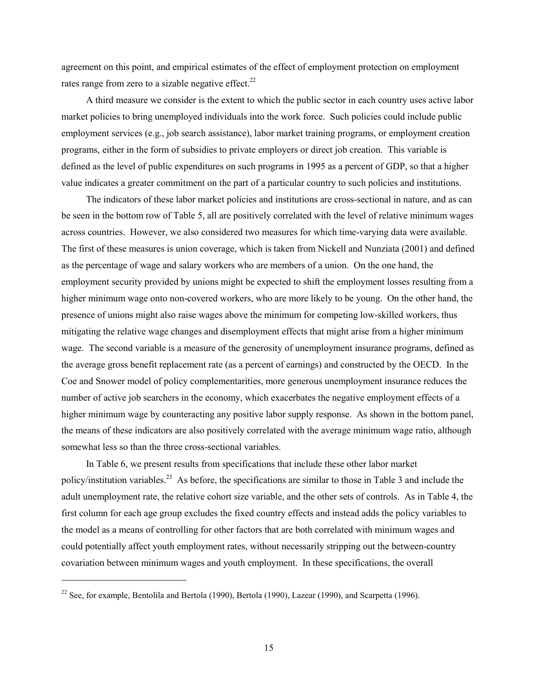agreement on this point, and empirical estimates of the effect of employment protection on employment rates range from zero to a sizable negative effect.<sup>22</sup>

A third measure we consider is the extent to which the public sector in each country uses active labor market policies to bring unemployed individuals into the work force. Such policies could include public employment services (e.g., job search assistance), labor market training programs, or employment creation programs, either in the form of subsidies to private employers or direct job creation. This variable is defined as the level of public expenditures on such programs in 1995 as a percent of GDP, so that a higher value indicates a greater commitment on the part of a particular country to such policies and institutions.

The indicators of these labor market policies and institutions are cross-sectional in nature, and as can be seen in the bottom row of Table 5, all are positively correlated with the level of relative minimum wages across countries. However, we also considered two measures for which time-varying data were available. The first of these measures is union coverage, which is taken from Nickell and Nunziata (2001) and defined as the percentage of wage and salary workers who are members of a union. On the one hand, the employment security provided by unions might be expected to shift the employment losses resulting from a higher minimum wage onto non-covered workers, who are more likely to be young. On the other hand, the presence of unions might also raise wages above the minimum for competing low-skilled workers, thus mitigating the relative wage changes and disemployment effects that might arise from a higher minimum wage. The second variable is a measure of the generosity of unemployment insurance programs, defined as the average gross benefit replacement rate (as a percent of earnings) and constructed by the OECD. In the Coe and Snower model of policy complementarities, more generous unemployment insurance reduces the number of active job searchers in the economy, which exacerbates the negative employment effects of a higher minimum wage by counteracting any positive labor supply response. As shown in the bottom panel, the means of these indicators are also positively correlated with the average minimum wage ratio, although somewhat less so than the three cross-sectional variables.

In Table 6, we present results from specifications that include these other labor market policy/institution variables[.23](#page-16-1) As before, the specifications are similar to those in Table 3 and include the adult unemployment rate, the relative cohort size variable, and the other sets of controls. As in Table 4, the first column for each age group excludes the fixed country effects and instead adds the policy variables to the model as a means of controlling for other factors that are both correlated with minimum wages and could potentially affect youth employment rates, without necessarily stripping out the between-country covariation between minimum wages and youth employment. In these specifications, the overall

<span id="page-16-1"></span>l

<span id="page-16-0"></span><sup>&</sup>lt;sup>22</sup> See, for example, Bentolila and Bertola (1990), Bertola (1990), Lazear (1990), and Scarpetta (1996).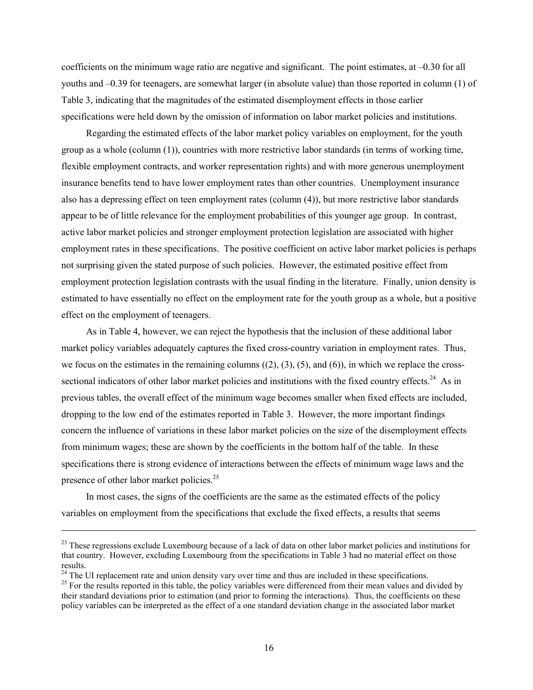<span id="page-17-1"></span>coefficients on the minimum wage ratio are negative and significant. The point estimates, at –0.30 for all youths and –0.39 for teenagers, are somewhat larger (in absolute value) than those reported in column (1) of Table 3, indicating that the magnitudes of the estimated disemployment effects in those earlier specifications were held down by the omission of information on labor market policies and institutions.

Regarding the estimated effects of the labor market policy variables on employment, for the youth group as a whole (column (1)), countries with more restrictive labor standards (in terms of working time, flexible employment contracts, and worker representation rights) and with more generous unemployment insurance benefits tend to have lower employment rates than other countries. Unemployment insurance also has a depressing effect on teen employment rates (column (4)), but more restrictive labor standards appear to be of little relevance for the employment probabilities of this younger age group. In contrast, active labor market policies and stronger employment protection legislation are associated with higher employment rates in these specifications. The positive coefficient on active labor market policies is perhaps not surprising given the stated purpose of such policies. However, the estimated positive effect from employment protection legislation contrasts with the usual finding in the literature. Finally, union density is estimated to have essentially no effect on the employment rate for the youth group as a whole, but a positive effect on the employment of teenagers.

As in Table 4, however, we can reject the hypothesis that the inclusion of these additional labor market policy variables adequately captures the fixed cross-country variation in employment rates. Thus, we focus on the estimates in the remaining columns  $((2), (3), (5),$  and  $(6)$ ), in which we replace the crosssectional indicators of other labor market policies and institutions with the fixed country effects.<sup>24</sup> As in previous tables, the overall effect of the minimum wage becomes smaller when fixed effects are included, dropping to the low end of the estimates reported in Table 3. However, the more important findings concern the influence of variations in these labor market policies on the size of the disemployment effects from minimum wages; these are shown by the coefficients in the bottom half of the table. In these specifications there is strong evidence of interactions between the effects of minimum wage laws and the presence of other labor market policies.<sup>25</sup>

In most cases, the signs of the coefficients are the same as the estimated effects of the policy variables on employment from the specifications that exclude the fixed effects, a results that seems

 $\overline{a}$ 

<sup>&</sup>lt;sup>23</sup> These regressions exclude Luxembourg because of a lack of data on other labor market policies and institutions for that country. However, excluding Luxembourg from the specifications in Table 3 had no material effect on those results.<br><sup>24</sup> The UI replacement rate and union density vary over time and thus are included in these specifications.<br><sup>25</sup> For the results reported in this table, the policy variables were differenced from their mean valu

<span id="page-17-0"></span>

their standard deviations prior to estimation (and prior to forming the interactions). Thus, the coefficients on these policy variables can be interpreted as the effect of a one standard deviation change in the associated labor market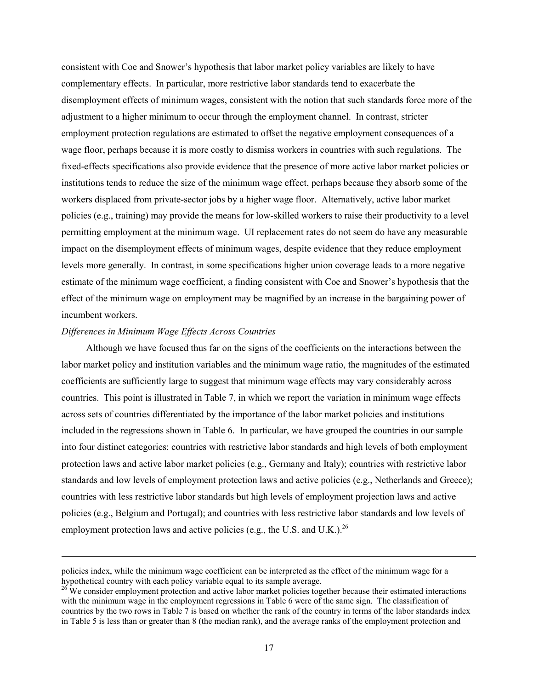<span id="page-18-0"></span>consistent with Coe and Snower's hypothesis that labor market policy variables are likely to have complementary effects. In particular, more restrictive labor standards tend to exacerbate the disemployment effects of minimum wages, consistent with the notion that such standards force more of the adjustment to a higher minimum to occur through the employment channel. In contrast, stricter employment protection regulations are estimated to offset the negative employment consequences of a wage floor, perhaps because it is more costly to dismiss workers in countries with such regulations. The fixed-effects specifications also provide evidence that the presence of more active labor market policies or institutions tends to reduce the size of the minimum wage effect, perhaps because they absorb some of the workers displaced from private-sector jobs by a higher wage floor. Alternatively, active labor market policies (e.g., training) may provide the means for low-skilled workers to raise their productivity to a level permitting employment at the minimum wage. UI replacement rates do not seem do have any measurable impact on the disemployment effects of minimum wages, despite evidence that they reduce employment levels more generally. In contrast, in some specifications higher union coverage leads to a more negative estimate of the minimum wage coefficient, a finding consistent with Coe and Snower's hypothesis that the effect of the minimum wage on employment may be magnified by an increase in the bargaining power of incumbent workers.

#### *Differences in Minimum Wage Effects Across Countries*

 $\overline{a}$ 

Although we have focused thus far on the signs of the coefficients on the interactions between the labor market policy and institution variables and the minimum wage ratio, the magnitudes of the estimated coefficients are sufficiently large to suggest that minimum wage effects may vary considerably across countries. This point is illustrated in Table 7, in which we report the variation in minimum wage effects across sets of countries differentiated by the importance of the labor market policies and institutions included in the regressions shown in Table 6. In particular, we have grouped the countries in our sample into four distinct categories: countries with restrictive labor standards and high levels of both employment protection laws and active labor market policies (e.g., Germany and Italy); countries with restrictive labor standards and low levels of employment protection laws and active policies (e.g., Netherlands and Greece); countries with less restrictive labor standards but high levels of employment projection laws and active policies (e.g., Belgium and Portugal); and countries with less restrictive labor standards and low levels of employment protection laws and active policies (e.g., the U.S. and U.K.).<sup>26</sup>

policies index, while the minimum wage coefficient can be interpreted as the effect of the minimum wage for a hypothetical country with each policy variable equal to its sample average.<br><sup>26</sup> We consider employment protection and active labor market policies together because their estimated interactions

with the minimum wage in the employment regressions in Table 6 were of the same sign. The classification of countries by the two rows in Table 7 is based on whether the rank of the country in terms of the labor standards index in Table 5 is less than or greater than 8 (the median rank), and the average ranks of the employment protection and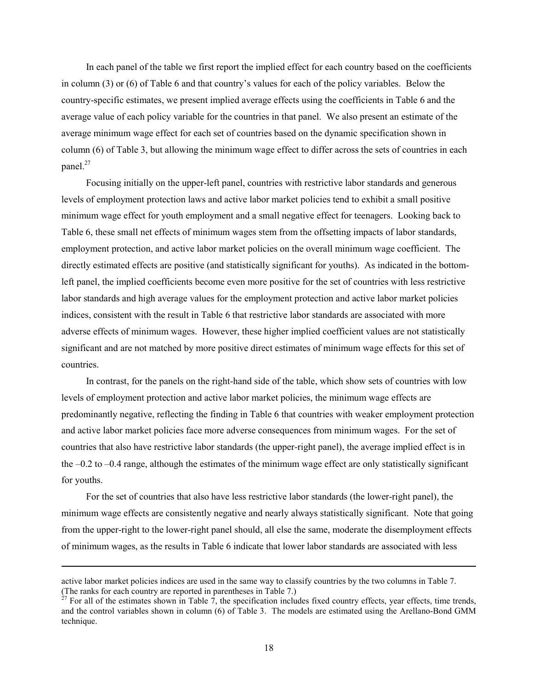In each panel of the table we first report the implied effect for each country based on the coefficients in column (3) or (6) of Table 6 and that country's values for each of the policy variables. Below the country-specific estimates, we present implied average effects using the coefficients in Table 6 and the average value of each policy variable for the countries in that panel. We also present an estimate of the average minimum wage effect for each set of countries based on the dynamic specification shown in column (6) of Table 3, but allowing the minimum wage effect to differ across the sets of countries in each panel. [27](#page-19-0) 

Focusing initially on the upper-left panel, countries with restrictive labor standards and generous levels of employment protection laws and active labor market policies tend to exhibit a small positive minimum wage effect for youth employment and a small negative effect for teenagers. Looking back to Table 6, these small net effects of minimum wages stem from the offsetting impacts of labor standards, employment protection, and active labor market policies on the overall minimum wage coefficient. The directly estimated effects are positive (and statistically significant for youths). As indicated in the bottomleft panel, the implied coefficients become even more positive for the set of countries with less restrictive labor standards and high average values for the employment protection and active labor market policies indices, consistent with the result in Table 6 that restrictive labor standards are associated with more adverse effects of minimum wages. However, these higher implied coefficient values are not statistically significant and are not matched by more positive direct estimates of minimum wage effects for this set of countries.

In contrast, for the panels on the right-hand side of the table, which show sets of countries with low levels of employment protection and active labor market policies, the minimum wage effects are predominantly negative, reflecting the finding in Table 6 that countries with weaker employment protection and active labor market policies face more adverse consequences from minimum wages. For the set of countries that also have restrictive labor standards (the upper-right panel), the average implied effect is in the –0.2 to –0.4 range, although the estimates of the minimum wage effect are only statistically significant for youths.

For the set of countries that also have less restrictive labor standards (the lower-right panel), the minimum wage effects are consistently negative and nearly always statistically significant. Note that going from the upper-right to the lower-right panel should, all else the same, moderate the disemployment effects of minimum wages, as the results in Table 6 indicate that lower labor standards are associated with less

l

active labor market policies indices are used in the same way to classify countries by the two columns in Table 7. (The ranks for each country are reported in parentheses in Table 7.)<br><sup>27</sup> For all of the estimates shown in Table 7, the specification includes fixed country effects, year effects, time trends,

<span id="page-19-0"></span>and the control variables shown in column (6) of Table 3. The models are estimated using the Arellano-Bond GMM technique.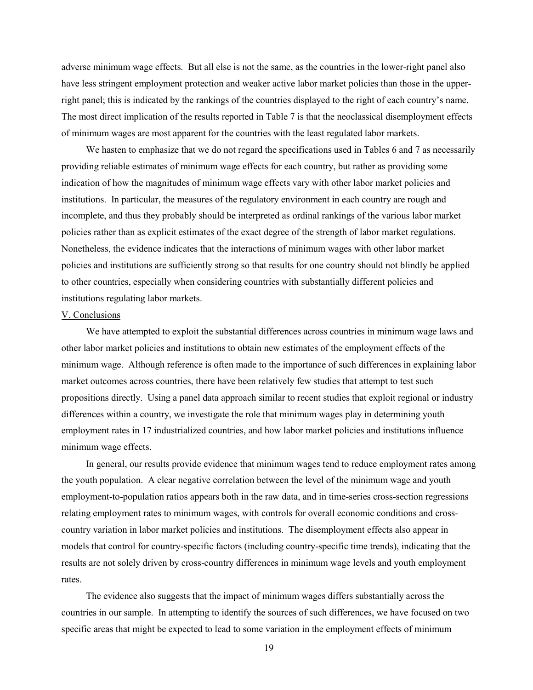adverse minimum wage effects. But all else is not the same, as the countries in the lower-right panel also have less stringent employment protection and weaker active labor market policies than those in the upperright panel; this is indicated by the rankings of the countries displayed to the right of each country's name. The most direct implication of the results reported in Table 7 is that the neoclassical disemployment effects of minimum wages are most apparent for the countries with the least regulated labor markets.

We hasten to emphasize that we do not regard the specifications used in Tables 6 and 7 as necessarily providing reliable estimates of minimum wage effects for each country, but rather as providing some indication of how the magnitudes of minimum wage effects vary with other labor market policies and institutions. In particular, the measures of the regulatory environment in each country are rough and incomplete, and thus they probably should be interpreted as ordinal rankings of the various labor market policies rather than as explicit estimates of the exact degree of the strength of labor market regulations. Nonetheless, the evidence indicates that the interactions of minimum wages with other labor market policies and institutions are sufficiently strong so that results for one country should not blindly be applied to other countries, especially when considering countries with substantially different policies and institutions regulating labor markets.

#### V. Conclusions

We have attempted to exploit the substantial differences across countries in minimum wage laws and other labor market policies and institutions to obtain new estimates of the employment effects of the minimum wage. Although reference is often made to the importance of such differences in explaining labor market outcomes across countries, there have been relatively few studies that attempt to test such propositions directly. Using a panel data approach similar to recent studies that exploit regional or industry differences within a country, we investigate the role that minimum wages play in determining youth employment rates in 17 industrialized countries, and how labor market policies and institutions influence minimum wage effects.

In general, our results provide evidence that minimum wages tend to reduce employment rates among the youth population. A clear negative correlation between the level of the minimum wage and youth employment-to-population ratios appears both in the raw data, and in time-series cross-section regressions relating employment rates to minimum wages, with controls for overall economic conditions and crosscountry variation in labor market policies and institutions. The disemployment effects also appear in models that control for country-specific factors (including country-specific time trends), indicating that the results are not solely driven by cross-country differences in minimum wage levels and youth employment rates.

The evidence also suggests that the impact of minimum wages differs substantially across the countries in our sample. In attempting to identify the sources of such differences, we have focused on two specific areas that might be expected to lead to some variation in the employment effects of minimum

19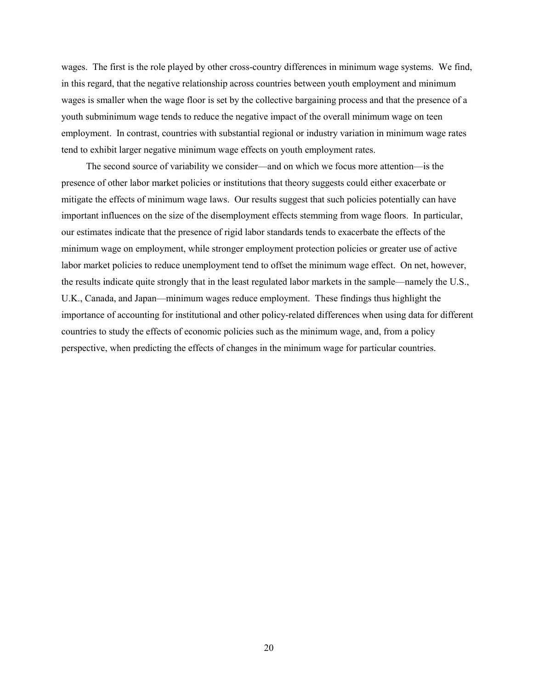wages. The first is the role played by other cross-country differences in minimum wage systems. We find, in this regard, that the negative relationship across countries between youth employment and minimum wages is smaller when the wage floor is set by the collective bargaining process and that the presence of a youth subminimum wage tends to reduce the negative impact of the overall minimum wage on teen employment. In contrast, countries with substantial regional or industry variation in minimum wage rates tend to exhibit larger negative minimum wage effects on youth employment rates.

The second source of variability we consider—and on which we focus more attention—is the presence of other labor market policies or institutions that theory suggests could either exacerbate or mitigate the effects of minimum wage laws. Our results suggest that such policies potentially can have important influences on the size of the disemployment effects stemming from wage floors. In particular, our estimates indicate that the presence of rigid labor standards tends to exacerbate the effects of the minimum wage on employment, while stronger employment protection policies or greater use of active labor market policies to reduce unemployment tend to offset the minimum wage effect. On net, however, the results indicate quite strongly that in the least regulated labor markets in the sample—namely the U.S., U.K., Canada, and Japan—minimum wages reduce employment. These findings thus highlight the importance of accounting for institutional and other policy-related differences when using data for different countries to study the effects of economic policies such as the minimum wage, and, from a policy perspective, when predicting the effects of changes in the minimum wage for particular countries.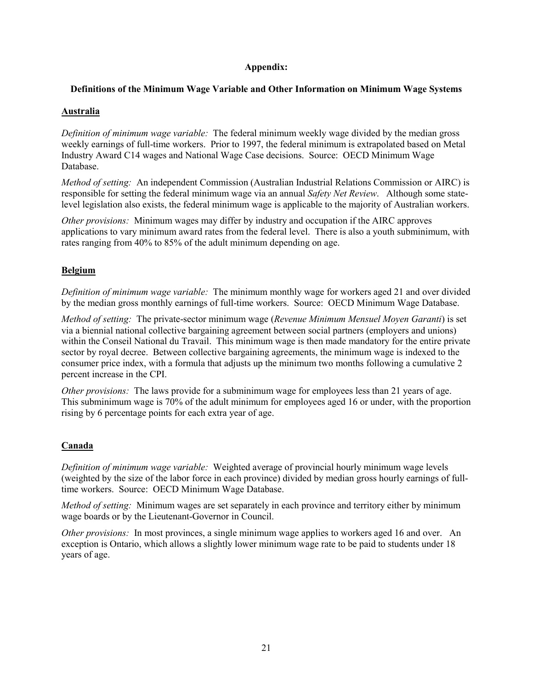## **Appendix:**

### **Definitions of the Minimum Wage Variable and Other Information on Minimum Wage Systems**

### **Australia**

*Definition of minimum wage variable:* The federal minimum weekly wage divided by the median gross weekly earnings of full-time workers. Prior to 1997, the federal minimum is extrapolated based on Metal Industry Award C14 wages and National Wage Case decisions. Source: OECD Minimum Wage Database.

*Method of setting:* An independent Commission (Australian Industrial Relations Commission or AIRC) is responsible for setting the federal minimum wage via an annual *Safety Net Review*. Although some statelevel legislation also exists, the federal minimum wage is applicable to the majority of Australian workers.

*Other provisions:* Minimum wages may differ by industry and occupation if the AIRC approves applications to vary minimum award rates from the federal level. There is also a youth subminimum, with rates ranging from 40% to 85% of the adult minimum depending on age.

## **Belgium**

*Definition of minimum wage variable:* The minimum monthly wage for workers aged 21 and over divided by the median gross monthly earnings of full-time workers. Source: OECD Minimum Wage Database.

*Method of setting:* The private-sector minimum wage (*Revenue Minimum Mensuel Moyen Garanti*) is set via a biennial national collective bargaining agreement between social partners (employers and unions) within the Conseil National du Travail. This minimum wage is then made mandatory for the entire private sector by royal decree. Between collective bargaining agreements, the minimum wage is indexed to the consumer price index, with a formula that adjusts up the minimum two months following a cumulative 2 percent increase in the CPI.

*Other provisions:* The laws provide for a subminimum wage for employees less than 21 years of age. This subminimum wage is 70% of the adult minimum for employees aged 16 or under, with the proportion rising by 6 percentage points for each extra year of age.

## **Canada**

*Definition of minimum wage variable:* Weighted average of provincial hourly minimum wage levels (weighted by the size of the labor force in each province) divided by median gross hourly earnings of fulltime workers. Source: OECD Minimum Wage Database.

*Method of setting:* Minimum wages are set separately in each province and territory either by minimum wage boards or by the Lieutenant-Governor in Council.

*Other provisions:* In most provinces, a single minimum wage applies to workers aged 16 and over. An exception is Ontario, which allows a slightly lower minimum wage rate to be paid to students under 18 years of age.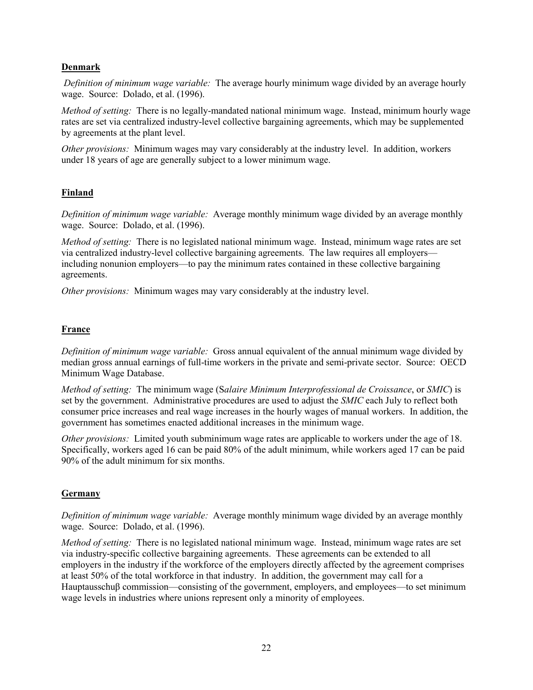## **Denmark**

*Definition of minimum wage variable:* The average hourly minimum wage divided by an average hourly wage. Source: Dolado, et al. (1996).

*Method of setting:* There is no legally-mandated national minimum wage. Instead, minimum hourly wage rates are set via centralized industry-level collective bargaining agreements, which may be supplemented by agreements at the plant level.

*Other provisions:* Minimum wages may vary considerably at the industry level. In addition, workers under 18 years of age are generally subject to a lower minimum wage.

## **Finland**

*Definition of minimum wage variable:* Average monthly minimum wage divided by an average monthly wage. Source: Dolado, et al. (1996).

*Method of setting:* There is no legislated national minimum wage. Instead, minimum wage rates are set via centralized industry-level collective bargaining agreements. The law requires all employers including nonunion employers—to pay the minimum rates contained in these collective bargaining agreements.

*Other provisions:* Minimum wages may vary considerably at the industry level.

### **France**

*Definition of minimum wage variable:* Gross annual equivalent of the annual minimum wage divided by median gross annual earnings of full-time workers in the private and semi-private sector. Source: OECD Minimum Wage Database.

*Method of setting:* The minimum wage (S*alaire Minimum Interprofessional de Croissance*, or *SMIC*) is set by the government. Administrative procedures are used to adjust the *SMIC* each July to reflect both consumer price increases and real wage increases in the hourly wages of manual workers. In addition, the government has sometimes enacted additional increases in the minimum wage.

*Other provisions:* Limited youth subminimum wage rates are applicable to workers under the age of 18. Specifically, workers aged 16 can be paid 80% of the adult minimum, while workers aged 17 can be paid 90% of the adult minimum for six months.

### **Germany**

*Definition of minimum wage variable:* Average monthly minimum wage divided by an average monthly wage. Source: Dolado, et al. (1996).

*Method of setting:* There is no legislated national minimum wage. Instead, minimum wage rates are set via industry-specific collective bargaining agreements. These agreements can be extended to all employers in the industry if the workforce of the employers directly affected by the agreement comprises at least 50% of the total workforce in that industry. In addition, the government may call for a Hauptausschuβ commission—consisting of the government, employers, and employees—to set minimum wage levels in industries where unions represent only a minority of employees.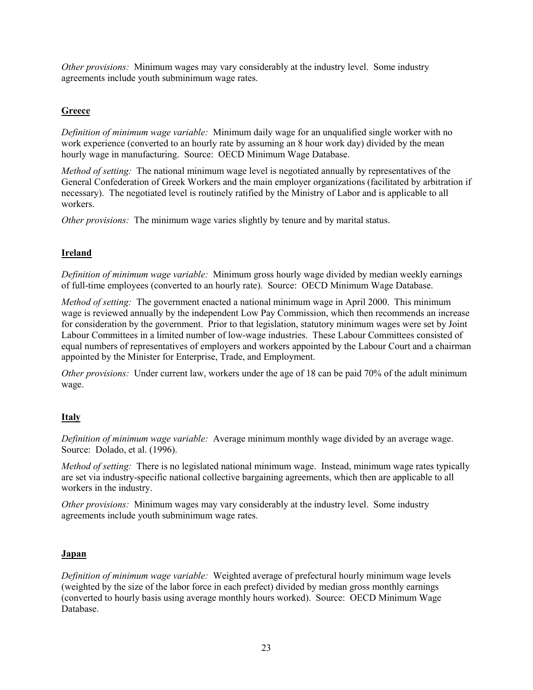*Other provisions:* Minimum wages may vary considerably at the industry level. Some industry agreements include youth subminimum wage rates.

## **Greece**

*Definition of minimum wage variable:* Minimum daily wage for an unqualified single worker with no work experience (converted to an hourly rate by assuming an 8 hour work day) divided by the mean hourly wage in manufacturing. Source: OECD Minimum Wage Database.

*Method of setting:* The national minimum wage level is negotiated annually by representatives of the General Confederation of Greek Workers and the main employer organizations (facilitated by arbitration if necessary). The negotiated level is routinely ratified by the Ministry of Labor and is applicable to all workers.

*Other provisions:* The minimum wage varies slightly by tenure and by marital status.

## **Ireland**

*Definition of minimum wage variable:* Minimum gross hourly wage divided by median weekly earnings of full-time employees (converted to an hourly rate). Source: OECD Minimum Wage Database.

*Method of setting:* The government enacted a national minimum wage in April 2000. This minimum wage is reviewed annually by the independent Low Pay Commission, which then recommends an increase for consideration by the government. Prior to that legislation, statutory minimum wages were set by Joint Labour Committees in a limited number of low-wage industries. These Labour Committees consisted of equal numbers of representatives of employers and workers appointed by the Labour Court and a chairman appointed by the Minister for Enterprise, Trade, and Employment.

*Other provisions:* Under current law, workers under the age of 18 can be paid 70% of the adult minimum wage.

## **Italy**

*Definition of minimum wage variable:* Average minimum monthly wage divided by an average wage. Source: Dolado, et al. (1996).

*Method of setting:* There is no legislated national minimum wage. Instead, minimum wage rates typically are set via industry-specific national collective bargaining agreements, which then are applicable to all workers in the industry.

*Other provisions:* Minimum wages may vary considerably at the industry level. Some industry agreements include youth subminimum wage rates.

## **Japan**

*Definition of minimum wage variable:* Weighted average of prefectural hourly minimum wage levels (weighted by the size of the labor force in each prefect) divided by median gross monthly earnings (converted to hourly basis using average monthly hours worked). Source: OECD Minimum Wage Database.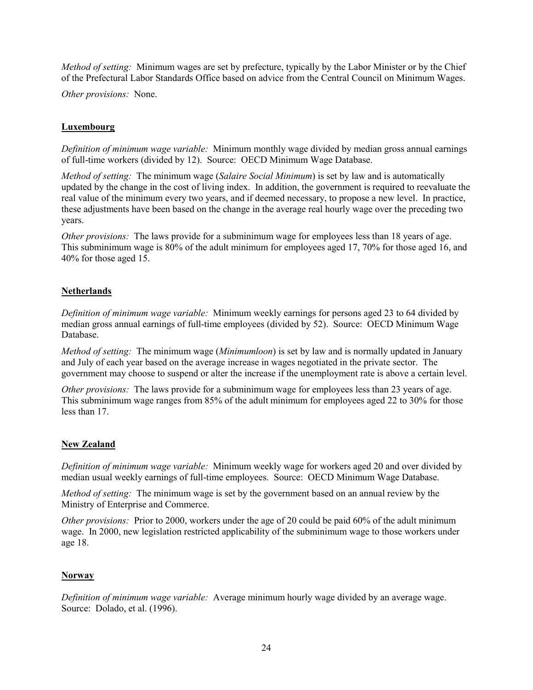*Method of setting:* Minimum wages are set by prefecture, typically by the Labor Minister or by the Chief of the Prefectural Labor Standards Office based on advice from the Central Council on Minimum Wages.

*Other provisions:* None.

## **Luxembourg**

*Definition of minimum wage variable:* Minimum monthly wage divided by median gross annual earnings of full-time workers (divided by 12). Source: OECD Minimum Wage Database.

*Method of setting:* The minimum wage (*Salaire Social Minimum*) is set by law and is automatically updated by the change in the cost of living index. In addition, the government is required to reevaluate the real value of the minimum every two years, and if deemed necessary, to propose a new level. In practice, these adjustments have been based on the change in the average real hourly wage over the preceding two years.

*Other provisions:* The laws provide for a subminimum wage for employees less than 18 years of age. This subminimum wage is 80% of the adult minimum for employees aged 17, 70% for those aged 16, and 40% for those aged 15.

## **Netherlands**

*Definition of minimum wage variable:* Minimum weekly earnings for persons aged 23 to 64 divided by median gross annual earnings of full-time employees (divided by 52). Source: OECD Minimum Wage Database.

*Method of setting:* The minimum wage (*Minimumloon*) is set by law and is normally updated in January and July of each year based on the average increase in wages negotiated in the private sector. The government may choose to suspend or alter the increase if the unemployment rate is above a certain level.

*Other provisions:* The laws provide for a subminimum wage for employees less than 23 years of age. This subminimum wage ranges from 85% of the adult minimum for employees aged 22 to 30% for those less than 17.

### **New Zealand**

*Definition of minimum wage variable:* Minimum weekly wage for workers aged 20 and over divided by median usual weekly earnings of full-time employees. Source: OECD Minimum Wage Database.

*Method of setting:* The minimum wage is set by the government based on an annual review by the Ministry of Enterprise and Commerce.

*Other provisions:* Prior to 2000, workers under the age of 20 could be paid 60% of the adult minimum wage. In 2000, new legislation restricted applicability of the subminimum wage to those workers under age 18.

### **Norway**

*Definition of minimum wage variable:* Average minimum hourly wage divided by an average wage. Source: Dolado, et al. (1996).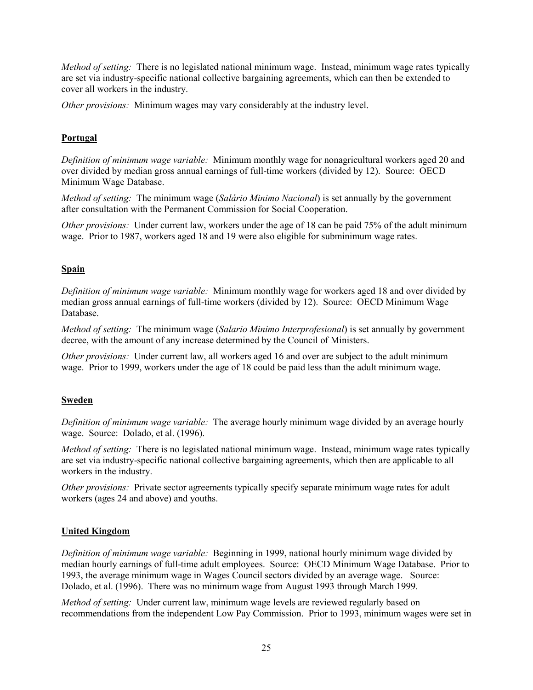*Method of setting:* There is no legislated national minimum wage. Instead, minimum wage rates typically are set via industry-specific national collective bargaining agreements, which can then be extended to cover all workers in the industry.

*Other provisions:* Minimum wages may vary considerably at the industry level.

## **Portugal**

*Definition of minimum wage variable:* Minimum monthly wage for nonagricultural workers aged 20 and over divided by median gross annual earnings of full-time workers (divided by 12). Source: OECD Minimum Wage Database.

*Method of setting:* The minimum wage (*Salário Minimo Nacional*) is set annually by the government after consultation with the Permanent Commission for Social Cooperation.

*Other provisions:* Under current law, workers under the age of 18 can be paid 75% of the adult minimum wage. Prior to 1987, workers aged 18 and 19 were also eligible for subminimum wage rates.

## **Spain**

*Definition of minimum wage variable:* Minimum monthly wage for workers aged 18 and over divided by median gross annual earnings of full-time workers (divided by 12). Source: OECD Minimum Wage Database.

*Method of setting:* The minimum wage (*Salario Minimo Interprofesional*) is set annually by government decree, with the amount of any increase determined by the Council of Ministers.

*Other provisions:* Under current law, all workers aged 16 and over are subject to the adult minimum wage. Prior to 1999, workers under the age of 18 could be paid less than the adult minimum wage.

## **Sweden**

*Definition of minimum wage variable:* The average hourly minimum wage divided by an average hourly wage. Source: Dolado, et al. (1996).

*Method of setting:* There is no legislated national minimum wage. Instead, minimum wage rates typically are set via industry-specific national collective bargaining agreements, which then are applicable to all workers in the industry.

*Other provisions:* Private sector agreements typically specify separate minimum wage rates for adult workers (ages 24 and above) and youths.

## **United Kingdom**

*Definition of minimum wage variable:* Beginning in 1999, national hourly minimum wage divided by median hourly earnings of full-time adult employees. Source: OECD Minimum Wage Database. Prior to 1993, the average minimum wage in Wages Council sectors divided by an average wage. Source: Dolado, et al. (1996). There was no minimum wage from August 1993 through March 1999.

*Method of setting:* Under current law, minimum wage levels are reviewed regularly based on recommendations from the independent Low Pay Commission. Prior to 1993, minimum wages were set in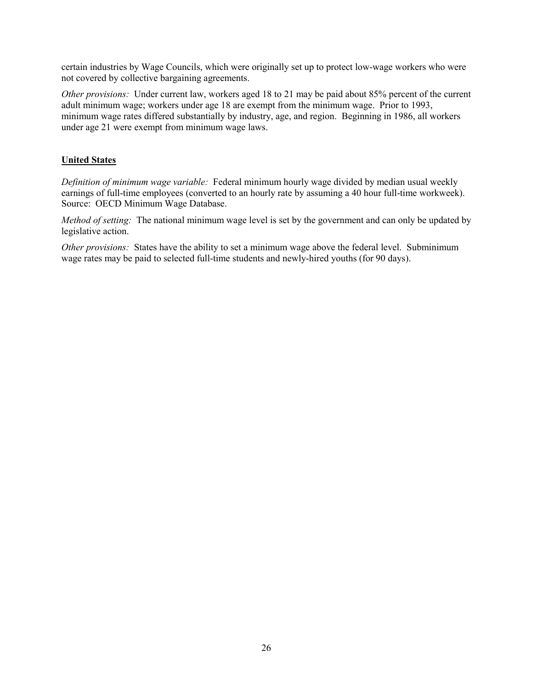certain industries by Wage Councils, which were originally set up to protect low-wage workers who were not covered by collective bargaining agreements.

*Other provisions:* Under current law, workers aged 18 to 21 may be paid about 85% percent of the current adult minimum wage; workers under age 18 are exempt from the minimum wage. Prior to 1993, minimum wage rates differed substantially by industry, age, and region. Beginning in 1986, all workers under age 21 were exempt from minimum wage laws.

## **United States**

*Definition of minimum wage variable:* Federal minimum hourly wage divided by median usual weekly earnings of full-time employees (converted to an hourly rate by assuming a 40 hour full-time workweek). Source: OECD Minimum Wage Database.

*Method of setting:* The national minimum wage level is set by the government and can only be updated by legislative action.

*Other provisions:* States have the ability to set a minimum wage above the federal level. Subminimum wage rates may be paid to selected full-time students and newly-hired youths (for 90 days).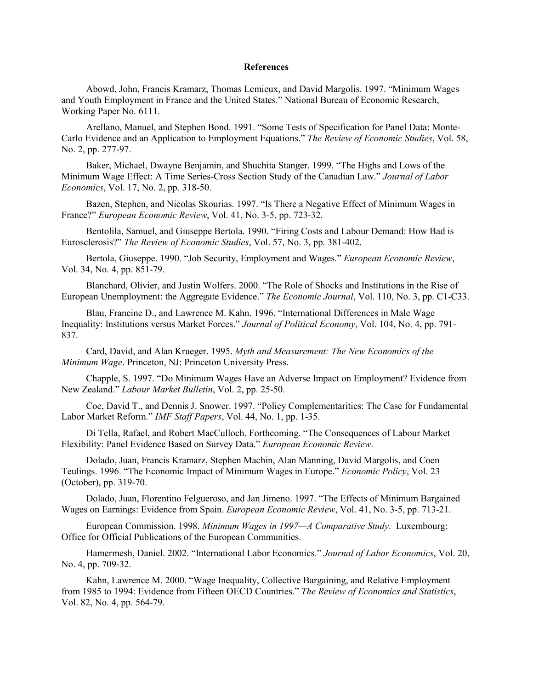#### **References**

Abowd, John, Francis Kramarz, Thomas Lemieux, and David Margolis. 1997. "Minimum Wages and Youth Employment in France and the United States." National Bureau of Economic Research, Working Paper No. 6111.

Arellano, Manuel, and Stephen Bond. 1991. "Some Tests of Specification for Panel Data: Monte-Carlo Evidence and an Application to Employment Equations." *The Review of Economic Studies*, Vol. 58, No. 2, pp. 277-97.

Baker, Michael, Dwayne Benjamin, and Shuchita Stanger. 1999. "The Highs and Lows of the Minimum Wage Effect: A Time Series-Cross Section Study of the Canadian Law." *Journal of Labor Economics*, Vol. 17, No. 2, pp. 318-50.

Bazen, Stephen, and Nicolas Skourias. 1997. "Is There a Negative Effect of Minimum Wages in France?" *European Economic Review*, Vol. 41, No. 3-5, pp. 723-32.

Bentolila, Samuel, and Giuseppe Bertola. 1990. "Firing Costs and Labour Demand: How Bad is Eurosclerosis?" *The Review of Economic Studies*, Vol. 57, No. 3, pp. 381-402.

Bertola, Giuseppe. 1990. "Job Security, Employment and Wages." *European Economic Review*, Vol. 34, No. 4, pp. 851-79.

Blanchard, Olivier, and Justin Wolfers. 2000. "The Role of Shocks and Institutions in the Rise of European Unemployment: the Aggregate Evidence." *The Economic Journal*, Vol. 110, No. 3, pp. C1-C33.

Blau, Francine D., and Lawrence M. Kahn. 1996. "International Differences in Male Wage Inequality: Institutions versus Market Forces." *Journal of Political Economy*, Vol. 104, No. 4, pp. 791- 837.

Card, David, and Alan Krueger. 1995. *Myth and Measurement: The New Economics of the Minimum Wage*. Princeton, NJ: Princeton University Press.

Chapple, S. 1997. "Do Minimum Wages Have an Adverse Impact on Employment? Evidence from New Zealand." *Labour Market Bulletin*, Vol. 2, pp. 25-50.

Coe, David T., and Dennis J. Snower. 1997. "Policy Complementarities: The Case for Fundamental Labor Market Reform." *IMF Staff Papers*, Vol. 44, No. 1, pp. 1-35.

Di Tella, Rafael, and Robert MacCulloch. Forthcoming. "The Consequences of Labour Market Flexibility: Panel Evidence Based on Survey Data." *European Economic Review*.

Dolado, Juan, Francis Kramarz, Stephen Machin, Alan Manning, David Margolis, and Coen Teulings. 1996. "The Economic Impact of Minimum Wages in Europe." *Economic Policy*, Vol. 23 (October), pp. 319-70.

Dolado, Juan, Florentino Felgueroso, and Jan Jimeno. 1997. "The Effects of Minimum Bargained Wages on Earnings: Evidence from Spain. *European Economic Review*, Vol. 41, No. 3-5, pp. 713-21.

European Commission. 1998. *Minimum Wages in 1997—A Comparative Study*. Luxembourg: Office for Official Publications of the European Communities.

Hamermesh, Daniel. 2002. "International Labor Economics." *Journal of Labor Economics*, Vol. 20, No. 4, pp. 709-32.

Kahn, Lawrence M. 2000. "Wage Inequality, Collective Bargaining, and Relative Employment from 1985 to 1994: Evidence from Fifteen OECD Countries." *The Review of Economics and Statistics*, Vol. 82, No. 4, pp. 564-79.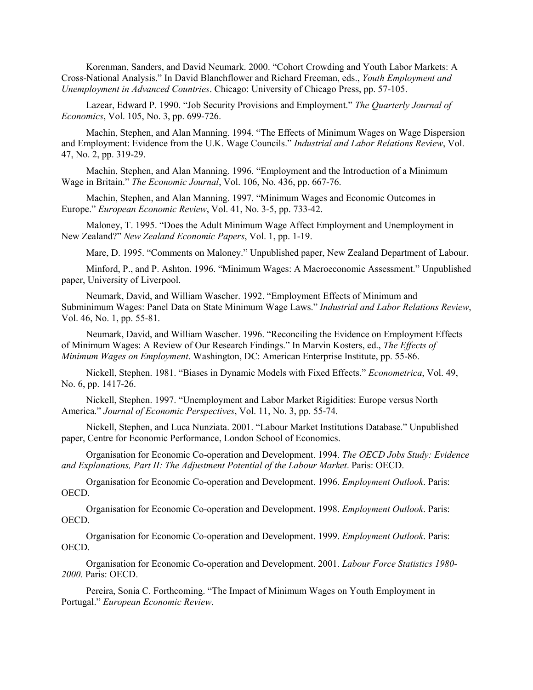Korenman, Sanders, and David Neumark. 2000. "Cohort Crowding and Youth Labor Markets: A Cross-National Analysis." In David Blanchflower and Richard Freeman, eds., *Youth Employment and Unemployment in Advanced Countries*. Chicago: University of Chicago Press, pp. 57-105.

Lazear, Edward P. 1990. "Job Security Provisions and Employment." *The Quarterly Journal of Economics*, Vol. 105, No. 3, pp. 699-726.

Machin, Stephen, and Alan Manning. 1994. "The Effects of Minimum Wages on Wage Dispersion and Employment: Evidence from the U.K. Wage Councils." *Industrial and Labor Relations Review*, Vol. 47, No. 2, pp. 319-29.

Machin, Stephen, and Alan Manning. 1996. "Employment and the Introduction of a Minimum Wage in Britain." *The Economic Journal*, Vol. 106, No. 436, pp. 667-76.

Machin, Stephen, and Alan Manning. 1997. "Minimum Wages and Economic Outcomes in Europe." *European Economic Review*, Vol. 41, No. 3-5, pp. 733-42.

Maloney, T. 1995. "Does the Adult Minimum Wage Affect Employment and Unemployment in New Zealand?" *New Zealand Economic Papers*, Vol. 1, pp. 1-19.

Mare, D. 1995. "Comments on Maloney." Unpublished paper, New Zealand Department of Labour.

Minford, P., and P. Ashton. 1996. "Minimum Wages: A Macroeconomic Assessment." Unpublished paper, University of Liverpool.

Neumark, David, and William Wascher. 1992. "Employment Effects of Minimum and Subminimum Wages: Panel Data on State Minimum Wage Laws." *Industrial and Labor Relations Review*, Vol. 46, No. 1, pp. 55-81.

Neumark, David, and William Wascher. 1996. "Reconciling the Evidence on Employment Effects of Minimum Wages: A Review of Our Research Findings." In Marvin Kosters, ed., *The Effects of Minimum Wages on Employment*. Washington, DC: American Enterprise Institute, pp. 55-86.

Nickell, Stephen. 1981. "Biases in Dynamic Models with Fixed Effects." *Econometrica*, Vol. 49, No. 6, pp. 1417-26.

Nickell, Stephen. 1997. "Unemployment and Labor Market Rigidities: Europe versus North America." *Journal of Economic Perspectives*, Vol. 11, No. 3, pp. 55-74.

Nickell, Stephen, and Luca Nunziata. 2001. "Labour Market Institutions Database." Unpublished paper, Centre for Economic Performance, London School of Economics.

Organisation for Economic Co-operation and Development. 1994. *The OECD Jobs Study: Evidence and Explanations, Part II: The Adjustment Potential of the Labour Market*. Paris: OECD.

Organisation for Economic Co-operation and Development. 1996. *Employment Outlook*. Paris: OECD.

Organisation for Economic Co-operation and Development. 1998. *Employment Outlook*. Paris: OECD.

Organisation for Economic Co-operation and Development. 1999. *Employment Outlook*. Paris: OECD.

Organisation for Economic Co-operation and Development. 2001. *Labour Force Statistics 1980- 2000*. Paris: OECD.

Pereira, Sonia C. Forthcoming. "The Impact of Minimum Wages on Youth Employment in Portugal." *European Economic Review*.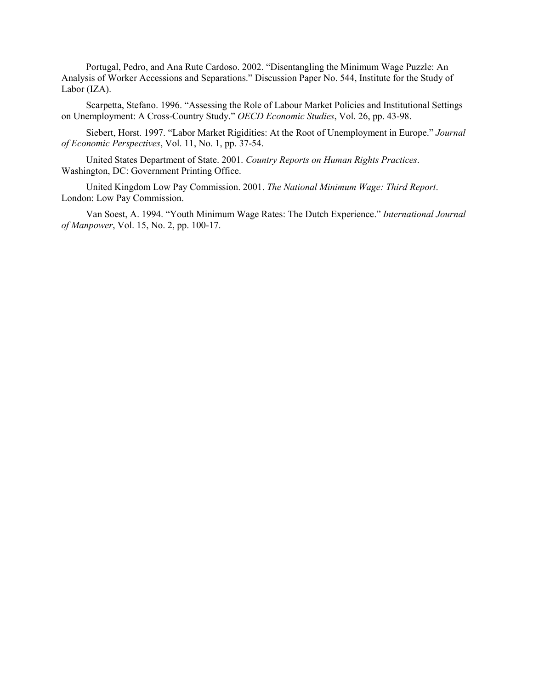Portugal, Pedro, and Ana Rute Cardoso. 2002. "Disentangling the Minimum Wage Puzzle: An Analysis of Worker Accessions and Separations." Discussion Paper No. 544, Institute for the Study of Labor (IZA).

Scarpetta, Stefano. 1996. "Assessing the Role of Labour Market Policies and Institutional Settings on Unemployment: A Cross-Country Study." *OECD Economic Studies*, Vol. 26, pp. 43-98.

Siebert, Horst. 1997. "Labor Market Rigidities: At the Root of Unemployment in Europe." *Journal of Economic Perspectives*, Vol. 11, No. 1, pp. 37-54.

United States Department of State. 2001. *Country Reports on Human Rights Practices*. Washington, DC: Government Printing Office.

United Kingdom Low Pay Commission. 2001. *The National Minimum Wage: Third Report*. London: Low Pay Commission.

Van Soest, A. 1994. "Youth Minimum Wage Rates: The Dutch Experience." *International Journal of Manpower*, Vol. 15, No. 2, pp. 100-17.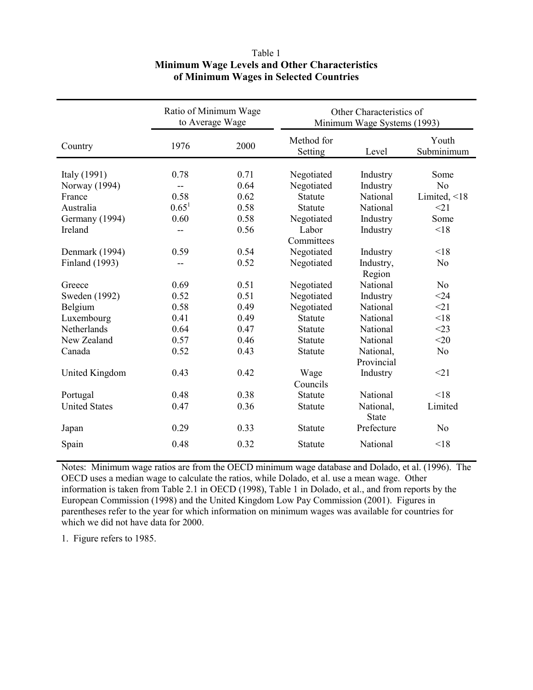|                       | Ratio of Minimum Wage<br>to Average Wage |      | Other Characteristics of<br>Minimum Wage Systems (1993) |              |                     |  |  |
|-----------------------|------------------------------------------|------|---------------------------------------------------------|--------------|---------------------|--|--|
| Country               | 1976                                     | 2000 | Method for<br>Setting                                   | Level        | Youth<br>Subminimum |  |  |
|                       |                                          |      |                                                         |              |                     |  |  |
| Italy (1991)          | 0.78                                     | 0.71 | Negotiated                                              | Industry     | Some                |  |  |
| Norway (1994)         |                                          | 0.64 | Negotiated                                              | Industry     | N <sub>o</sub>      |  |  |
| France                | 0.58                                     | 0.62 | <b>Statute</b>                                          | National     | Limited, $\leq 18$  |  |  |
| Australia             | $0.65^{1}$                               | 0.58 | <b>Statute</b>                                          | National     | <21                 |  |  |
| Germany (1994)        | 0.60                                     | 0.58 | Negotiated                                              | Industry     | Some                |  |  |
| Ireland               | --                                       | 0.56 | Labor                                                   | Industry     | < 18                |  |  |
|                       |                                          |      | Committees                                              |              |                     |  |  |
| Denmark (1994)        | 0.59                                     | 0.54 | Negotiated                                              | Industry     | < 18                |  |  |
| <b>Finland</b> (1993) | --                                       | 0.52 | Negotiated                                              | Industry,    | N <sub>0</sub>      |  |  |
|                       |                                          |      |                                                         | Region       |                     |  |  |
| Greece                | 0.69                                     | 0.51 | Negotiated                                              | National     | N <sub>0</sub>      |  |  |
| Sweden (1992)         | 0.52                                     | 0.51 | Negotiated                                              | Industry     | $<$ 24              |  |  |
| Belgium               | 0.58                                     | 0.49 | Negotiated                                              | National     | <21                 |  |  |
| Luxembourg            | 0.41                                     | 0.49 | <b>Statute</b>                                          | National     | < 18                |  |  |
| Netherlands           | 0.64                                     | 0.47 | Statute                                                 | National     | $<$ 23              |  |  |
| New Zealand           | 0.57                                     | 0.46 | Statute                                                 | National     | $<$ 20              |  |  |
| Canada                | 0.52                                     | 0.43 | Statute                                                 | National,    | N <sub>0</sub>      |  |  |
|                       |                                          |      |                                                         | Provincial   |                     |  |  |
| United Kingdom        | 0.43                                     | 0.42 | Wage                                                    | Industry     | <21                 |  |  |
|                       |                                          |      | Councils                                                |              |                     |  |  |
| Portugal              | 0.48                                     | 0.38 | Statute                                                 | National     | < 18                |  |  |
| <b>United States</b>  | 0.47                                     | 0.36 | Statute                                                 | National,    | Limited             |  |  |
|                       |                                          |      |                                                         | <b>State</b> |                     |  |  |
| Japan                 | 0.29                                     | 0.33 | Statute                                                 | Prefecture   | N <sub>0</sub>      |  |  |
| Spain                 | 0.48                                     | 0.32 | Statute                                                 | National     | < 18                |  |  |
|                       |                                          |      |                                                         |              |                     |  |  |

## Table 1 **Minimum Wage Levels and Other Characteristics of Minimum Wages in Selected Countries**

Notes: Minimum wage ratios are from the OECD minimum wage database and Dolado, et al. (1996). The OECD uses a median wage to calculate the ratios, while Dolado, et al. use a mean wage. Other information is taken from Table 2.1 in OECD (1998), Table 1 in Dolado, et al., and from reports by the European Commission (1998) and the United Kingdom Low Pay Commission (2001). Figures in parentheses refer to the year for which information on minimum wages was available for countries for which we did not have data for 2000.

1. Figure refers to 1985.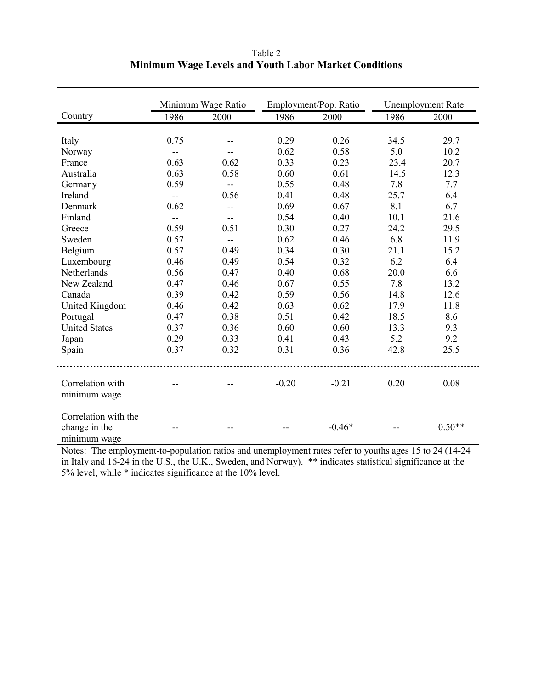| Table 2                                                      |  |
|--------------------------------------------------------------|--|
| <b>Minimum Wage Levels and Youth Labor Market Conditions</b> |  |

|                                                       |                          | Minimum Wage Ratio |         | Employment/Pop. Ratio |      | <b>Unemployment Rate</b> |
|-------------------------------------------------------|--------------------------|--------------------|---------|-----------------------|------|--------------------------|
| Country                                               | 1986                     | 2000               | 1986    | 2000                  | 1986 | 2000                     |
|                                                       |                          |                    |         |                       |      |                          |
| Italy                                                 | 0.75                     |                    | 0.29    | 0.26                  | 34.5 | 29.7                     |
| Norway                                                | $-$                      |                    | 0.62    | 0.58                  | 5.0  | 10.2                     |
| France                                                | 0.63                     | 0.62               | 0.33    | 0.23                  | 23.4 | 20.7                     |
| Australia                                             | 0.63                     | 0.58               | 0.60    | 0.61                  | 14.5 | 12.3                     |
| Germany                                               | 0.59                     | $-$                | 0.55    | 0.48                  | 7.8  | 7.7                      |
| Ireland                                               | $\overline{\phantom{a}}$ | 0.56               | 0.41    | 0.48                  | 25.7 | 6.4                      |
| Denmark                                               | 0.62                     | $-$                | 0.69    | 0.67                  | 8.1  | 6.7                      |
| Finland                                               | $\overline{\phantom{a}}$ |                    | 0.54    | 0.40                  | 10.1 | 21.6                     |
| Greece                                                | 0.59                     | 0.51               | 0.30    | 0.27                  | 24.2 | 29.5                     |
| Sweden                                                | 0.57                     | $-$                | 0.62    | 0.46                  | 6.8  | 11.9                     |
| Belgium                                               | 0.57                     | 0.49               | 0.34    | 0.30                  | 21.1 | 15.2                     |
| Luxembourg                                            | 0.46                     | 0.49               | 0.54    | 0.32                  | 6.2  | 6.4                      |
| Netherlands                                           | 0.56                     | 0.47               | 0.40    | 0.68                  | 20.0 | 6.6                      |
| New Zealand                                           | 0.47                     | 0.46               | 0.67    | 0.55                  | 7.8  | 13.2                     |
| Canada                                                | 0.39                     | 0.42               | 0.59    | 0.56                  | 14.8 | 12.6                     |
| <b>United Kingdom</b>                                 | 0.46                     | 0.42               | 0.63    | 0.62                  | 17.9 | 11.8                     |
| Portugal                                              | 0.47                     | 0.38               | 0.51    | 0.42                  | 18.5 | 8.6                      |
| <b>United States</b>                                  | 0.37                     | 0.36               | 0.60    | 0.60                  | 13.3 | 9.3                      |
| Japan                                                 | 0.29                     | 0.33               | 0.41    | 0.43                  | 5.2  | 9.2                      |
| Spain                                                 | 0.37                     | 0.32               | 0.31    | 0.36                  | 42.8 | 25.5                     |
| Correlation with<br>minimum wage                      |                          |                    | $-0.20$ | $-0.21$               | 0.20 | 0.08                     |
| Correlation with the<br>change in the<br>minimum wage |                          |                    |         | $-0.46*$              |      | $0.50**$                 |

Notes: The employment-to-population ratios and unemployment rates refer to youths ages 15 to 24 (14-24 in Italy and 16-24 in the U.S., the U.K., Sweden, and Norway). \*\* indicates statistical significance at the 5% level, while \* indicates significance at the 10% level.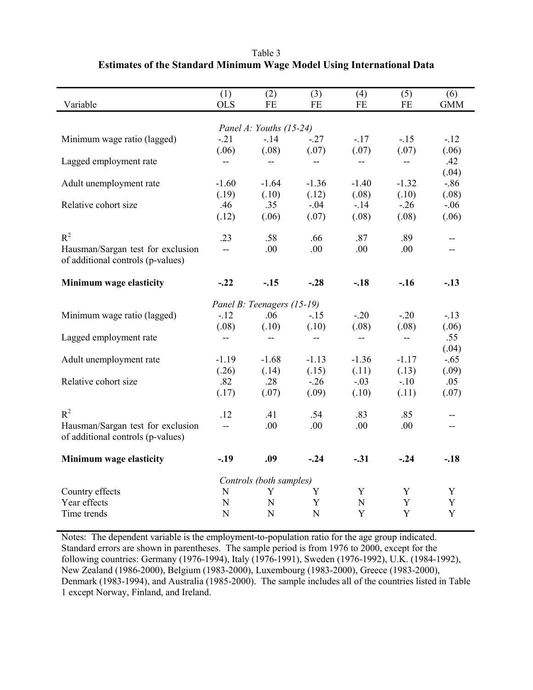| Variable                          | (1)<br><b>OLS</b>        | (2)<br>FE                  | (3)<br><b>FE</b>         | (4)<br>FE                | (5)<br>FE                | (6)<br><b>GMM</b>        |  |  |
|-----------------------------------|--------------------------|----------------------------|--------------------------|--------------------------|--------------------------|--------------------------|--|--|
|                                   |                          |                            |                          |                          |                          |                          |  |  |
| Panel A: Youths (15-24)           |                          |                            |                          |                          |                          |                          |  |  |
| Minimum wage ratio (lagged)       | $-21$                    | $-14$                      | $-27$                    | $-17$                    | $-15$                    | $-12$                    |  |  |
|                                   | (.06)                    | (.08)                      | (.07)                    | (.07)                    | (.07)                    | (.06)                    |  |  |
| Lagged employment rate            | --                       | $\qquad \qquad -$          | --                       | --                       | --                       | .42                      |  |  |
|                                   |                          |                            |                          |                          |                          | (.04)                    |  |  |
| Adult unemployment rate           | $-1.60$                  | $-1.64$                    | $-1.36$                  | $-1.40$                  | $-1.32$                  | $-0.86$                  |  |  |
|                                   | (.19)                    | (.10)                      | (.12)                    | (.08)                    | (.10)                    | (.08)                    |  |  |
| Relative cohort size              | .46                      | .35                        | $-.04$                   | $-14$                    | $-26$                    | $-.06$                   |  |  |
|                                   | (.12)                    | (.06)                      | (.07)                    | (.08)                    | (.08)                    | (.06)                    |  |  |
| $R^2$                             | .23                      | .58                        | .66                      | .87                      | .89                      | $\overline{\phantom{a}}$ |  |  |
| Hausman/Sargan test for exclusion | $\overline{a}$           | .00                        | .00                      | .00                      | .00                      |                          |  |  |
| of additional controls (p-values) |                          |                            |                          |                          |                          |                          |  |  |
|                                   |                          |                            |                          |                          |                          |                          |  |  |
| Minimum wage elasticity           | $-.22$                   | $-.15$                     | $-.28$                   | $-.18$                   | $-.16$                   | $-.13$                   |  |  |
|                                   |                          | Panel B: Teenagers (15-19) |                          |                          |                          |                          |  |  |
| Minimum wage ratio (lagged)       | $-12$                    | .06                        | $-15$                    | $-20$                    | $-20$                    | $-13$                    |  |  |
|                                   | (.08)                    | (.10)                      | (.10)                    | (.08)                    | (.08)                    | (.06)                    |  |  |
| Lagged employment rate            | $\overline{\phantom{a}}$ | $\overline{\phantom{a}}$   | $\overline{\phantom{a}}$ | $\overline{\phantom{a}}$ | $\overline{\phantom{a}}$ | .55                      |  |  |
|                                   |                          |                            |                          |                          |                          | (.04)                    |  |  |
| Adult unemployment rate           | $-1.19$                  | $-1.68$                    | $-1.13$                  | $-1.36$                  | $-1.17$                  | $-.65$                   |  |  |
|                                   | (.26)                    | (.14)                      | (.15)                    | (.11)                    | (.13)                    | (.09)                    |  |  |
| Relative cohort size              | .82                      | .28                        | $-26$                    | $-.03$                   | $-.10$                   | .05                      |  |  |
|                                   | (.17)                    | (.07)                      | (.09)                    | (.10)                    | (.11)                    | (.07)                    |  |  |
| $R^2$                             | .12                      | .41                        | .54                      | .83                      | .85                      | --                       |  |  |
| Hausman/Sargan test for exclusion | шш.                      | .00                        | .00                      | .00                      | .00                      | --                       |  |  |
| of additional controls (p-values) |                          |                            |                          |                          |                          |                          |  |  |
|                                   |                          |                            |                          |                          |                          |                          |  |  |
| Minimum wage elasticity           | $-.19$                   | .09                        | $-.24$                   | $-.31$                   | $-.24$                   | $-.18$                   |  |  |
| Controls (both samples)           |                          |                            |                          |                          |                          |                          |  |  |
| Country effects                   | N                        | Y                          | Y                        | Y                        | Y                        | Y                        |  |  |
| Year effects                      | $\mathbf N$              | $\mathbf N$                | Y                        | ${\bf N}$                | Y                        | $\mathbf Y$              |  |  |
| Time trends                       | N                        | N                          | $\mathbf N$              | Y                        | $\mathbf Y$              | Y                        |  |  |

Table 3 **Estimates of the Standard Minimum Wage Model Using International Data** 

Notes: The dependent variable is the employment-to-population ratio for the age group indicated. Standard errors are shown in parentheses. The sample period is from 1976 to 2000, except for the following countries: Germany (1976-1994), Italy (1976-1991), Sweden (1976-1992), U.K. (1984-1992), New Zealand (1986-2000), Belgium (1983-2000), Luxembourg (1983-2000), Greece (1983-2000), Denmark (1983-1994), and Australia (1985-2000). The sample includes all of the countries listed in Table 1 except Norway, Finland, and Ireland.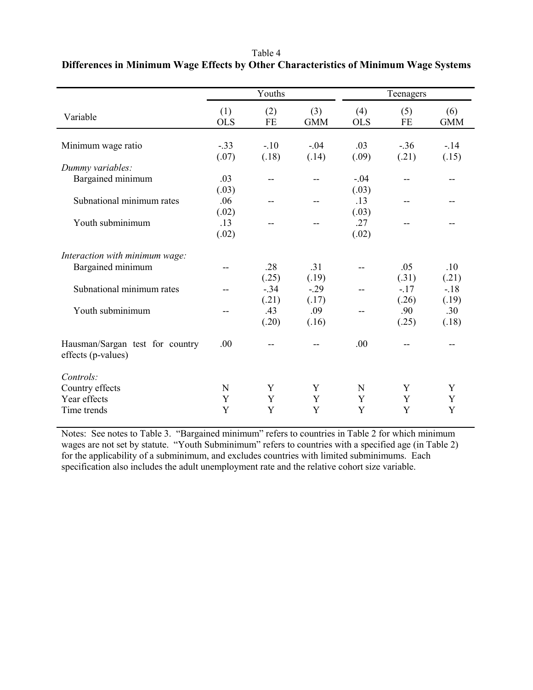| Table 4                                                                              |  |
|--------------------------------------------------------------------------------------|--|
| Differences in Minimum Wage Effects by Other Characteristics of Minimum Wage Systems |  |

|                                                       | Youths            |           |                   | Teenagers         |                  |                   |
|-------------------------------------------------------|-------------------|-----------|-------------------|-------------------|------------------|-------------------|
| Variable                                              | (1)<br><b>OLS</b> | (2)<br>FE | (3)<br><b>GMM</b> | (4)<br><b>OLS</b> | (5)<br><b>FE</b> | (6)<br><b>GMM</b> |
| Minimum wage ratio                                    | $-33$             | $-.10$    | $-0.04$           | .03               | $-.36$           | $-14$             |
|                                                       | (.07)             | (.18)     | (.14)             | (.09)             | (.21)            | (.15)             |
| Dummy variables:                                      |                   |           |                   |                   |                  |                   |
| Bargained minimum                                     | .03               | --        |                   | $-.04$            |                  |                   |
|                                                       | (.03)             |           |                   | (.03)             |                  |                   |
| Subnational minimum rates                             | .06               | --        |                   | .13               |                  |                   |
|                                                       | (.02)             |           |                   | (.03)             |                  |                   |
| Youth subminimum                                      | .13               | --        |                   | .27               |                  |                   |
|                                                       | (.02)             |           |                   | (.02)             |                  |                   |
| Interaction with minimum wage:                        |                   |           |                   |                   |                  |                   |
| Bargained minimum                                     |                   | .28       | .31               |                   | .05              | .10               |
|                                                       |                   | (.25)     | (.19)             |                   | (.31)            | (.21)             |
| Subnational minimum rates                             |                   | $-.34$    | $-0.29$           |                   | $-17$            | $-18$             |
|                                                       |                   | (.21)     | (.17)             |                   | (.26)            | (.19)             |
| Youth subminimum                                      | --                | .43       | .09               |                   | .90              | .30               |
|                                                       |                   | (.20)     | (.16)             |                   | (.25)            | (.18)             |
| Hausman/Sargan test for country<br>effects (p-values) | .00               | --        |                   | .00               |                  |                   |
| Controls:                                             |                   |           |                   |                   |                  |                   |
| Country effects                                       | N                 | Y         | Y                 | $\mathbf N$       | Y                | Y                 |
| Year effects                                          | Y                 | Y         | Y                 | Y                 | Y                | Y                 |
| Time trends                                           | Y                 | Y         | Y                 | Y                 | Y                | Y                 |

Notes: See notes to Table 3. "Bargained minimum" refers to countries in Table 2 for which minimum wages are not set by statute. "Youth Subminimum" refers to countries with a specified age (in Table 2) for the applicability of a subminimum, and excludes countries with limited subminimums. Each specification also includes the adult unemployment rate and the relative cohort size variable.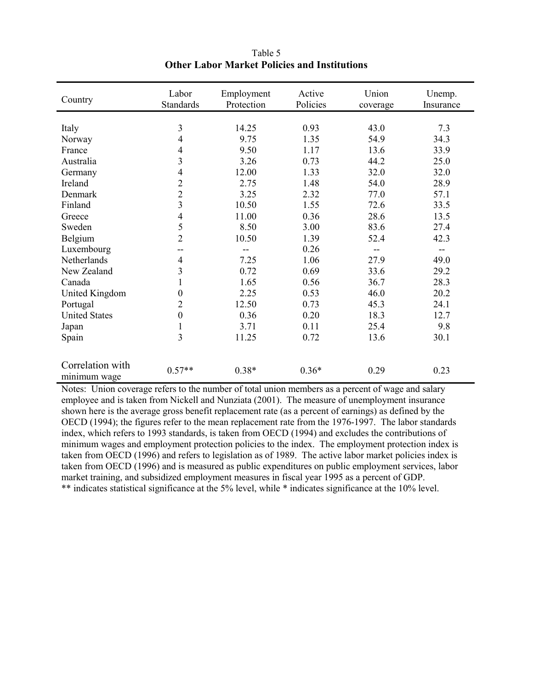| Country                          | Labor<br><b>Standards</b> | Employment<br>Protection | Active<br>Policies | Union<br>coverage | Unemp.<br>Insurance |
|----------------------------------|---------------------------|--------------------------|--------------------|-------------------|---------------------|
|                                  |                           |                          |                    |                   |                     |
| Italy                            | 3                         | 14.25                    | 0.93               | 43.0              | 7.3                 |
| Norway                           | 4                         | 9.75                     | 1.35               | 54.9              | 34.3                |
| France                           | $\overline{4}$            | 9.50                     | 1.17               | 13.6              | 33.9                |
| Australia                        | $\overline{\mathbf{3}}$   | 3.26                     | 0.73               | 44.2              | 25.0                |
| Germany                          | $\overline{4}$            | 12.00                    | 1.33               | 32.0              | 32.0                |
| Ireland                          | $\overline{c}$            | 2.75                     | 1.48               | 54.0              | 28.9                |
| Denmark                          | $\overline{2}$            | 3.25                     | 2.32               | 77.0              | 57.1                |
| Finland                          | $\overline{3}$            | 10.50                    | 1.55               | 72.6              | 33.5                |
| Greece                           | $\overline{4}$            | 11.00                    | 0.36               | 28.6              | 13.5                |
| Sweden                           | 5                         | 8.50                     | 3.00               | 83.6              | 27.4                |
| Belgium                          | $\overline{2}$            | 10.50                    | 1.39               | 52.4              | 42.3                |
| Luxembourg                       | --                        | --                       | 0.26               | --                | $- -$               |
| Netherlands                      | $\overline{4}$            | 7.25                     | 1.06               | 27.9              | 49.0                |
| New Zealand                      | 3                         | 0.72                     | 0.69               | 33.6              | 29.2                |
| Canada                           | 1                         | 1.65                     | 0.56               | 36.7              | 28.3                |
| United Kingdom                   | $\mathbf{0}$              | 2.25                     | 0.53               | 46.0              | 20.2                |
| Portugal                         | $\overline{2}$            | 12.50                    | 0.73               | 45.3              | 24.1                |
| <b>United States</b>             | $\mathbf{0}$              | 0.36                     | 0.20               | 18.3              | 12.7                |
| Japan                            | $\mathbf{1}$              | 3.71                     | 0.11               | 25.4              | 9.8                 |
| Spain                            | 3                         | 11.25                    | 0.72               | 13.6              | 30.1                |
| Correlation with<br>minimum wage | $0.57**$                  | $0.38*$                  | $0.36*$            | 0.29              | 0.23                |

Table 5 **Other Labor Market Policies and Institutions** 

Notes: Union coverage refers to the number of total union members as a percent of wage and salary employee and is taken from Nickell and Nunziata (2001). The measure of unemployment insurance shown here is the average gross benefit replacement rate (as a percent of earnings) as defined by the OECD (1994); the figures refer to the mean replacement rate from the 1976-1997. The labor standards index, which refers to 1993 standards, is taken from OECD (1994) and excludes the contributions of minimum wages and employment protection policies to the index. The employment protection index is taken from OECD (1996) and refers to legislation as of 1989. The active labor market policies index is taken from OECD (1996) and is measured as public expenditures on public employment services, labor market training, and subsidized employment measures in fiscal year 1995 as a percent of GDP. \*\* indicates statistical significance at the 5% level, while \* indicates significance at the 10% level.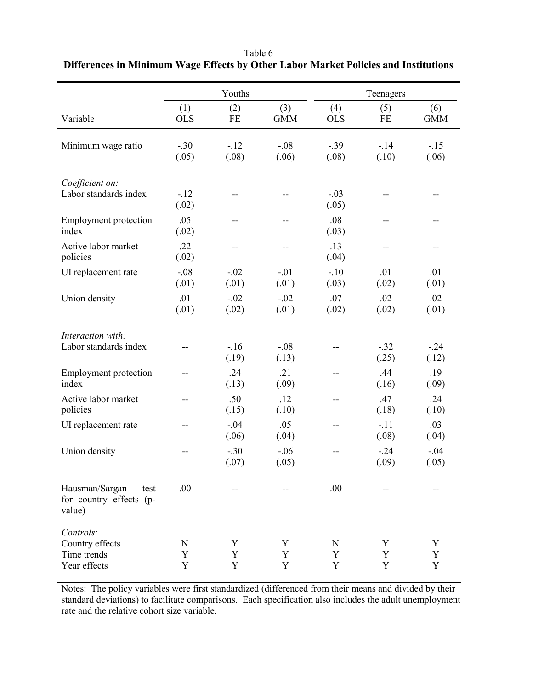|                                                             |                   | Youths          |                   |                       | Teenagers       |                   |
|-------------------------------------------------------------|-------------------|-----------------|-------------------|-----------------------|-----------------|-------------------|
| Variable                                                    | (1)<br><b>OLS</b> | (2)<br>FE       | (3)<br><b>GMM</b> | (4)<br><b>OLS</b>     | (5)<br>FE       | (6)<br><b>GMM</b> |
| Minimum wage ratio                                          | $-.30$<br>(.05)   | $-12$<br>(.08)  | $-.08$<br>(.06)   | $-.39$<br>(.08)       | $-14$<br>(.10)  | $-.15$<br>(.06)   |
| Coefficient on:<br>Labor standards index                    | $-12$<br>(.02)    |                 |                   | $-.03$<br>(.05)       |                 |                   |
| <b>Employment protection</b><br>index                       | .05<br>(.02)      |                 |                   | .08<br>(.03)          |                 |                   |
| Active labor market<br>policies                             | .22<br>(.02)      |                 |                   | .13<br>(.04)          |                 |                   |
| UI replacement rate                                         | $-.08$<br>(.01)   | $-.02$<br>(.01) | $-.01$<br>(.01)   | $-10$<br>(.03)        | .01<br>(.02)    | .01<br>(.01)      |
| Union density                                               | .01<br>(.01)      | $-.02$<br>(.02) | $-.02$<br>(.01)   | .07<br>(.02)          | .02<br>(.02)    | .02<br>(.01)      |
| Interaction with:<br>Labor standards index                  |                   | $-16$<br>(.19)  | $-.08$<br>(.13)   |                       | $-32$<br>(.25)  | $-24$<br>(.12)    |
| <b>Employment protection</b><br>index                       | --                | .24<br>(.13)    | .21<br>(.09)      |                       | .44<br>(.16)    | .19<br>(.09)      |
| Active labor market<br>policies                             |                   | .50<br>(.15)    | .12<br>(.10)      |                       | .47<br>(.18)    | .24<br>(.10)      |
| UI replacement rate                                         |                   | $-.04$<br>(.06) | .05<br>(.04)      |                       | $-.11$<br>(.08) | .03<br>(.04)      |
| Union density                                               |                   | $-.30$<br>(.07) | $-.06$<br>(.05)   |                       | $-.24$<br>(.09) | $-.04$<br>(.05)   |
| Hausman/Sargan<br>test<br>for country effects (p-<br>value) | .00               |                 |                   | .00                   |                 |                   |
| Controls:<br>Country effects<br>Time trends<br>Year effects | N<br>Y<br>Y       | Y<br>Y<br>Y     | Y<br>Y<br>Y       | N<br>Y<br>$\mathbf Y$ | Y<br>Y<br>Y     | Y<br>Y<br>Y       |

# Table 6 **Differences in Minimum Wage Effects by Other Labor Market Policies and Institutions**

Notes: The policy variables were first standardized (differenced from their means and divided by their standard deviations) to facilitate comparisons.Each specification also includes the adult unemployment rate and the relative cohort size variable.